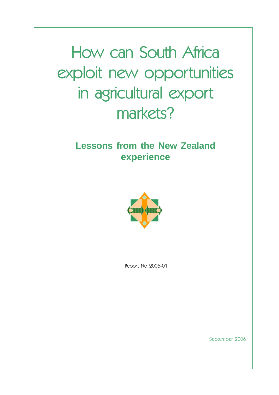How can South Africa exploit new opportunities in agricultural export markets?

> **Lessons from the New Zealand experience**



Report No 2006-01

September 2006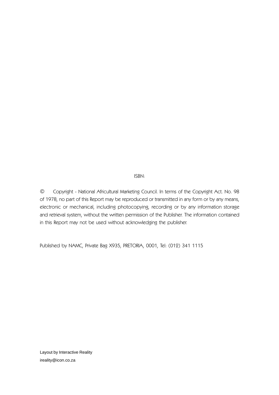ISBN:

© Copyright - National Africultural Marketing Council. In terms of the Copyright Act. No. 98 of 1978, no part of this Report may be reproduced or transmitted in any form or by any means, electronic or mechanical, including photocopying, recording or by any information storage and retrieval system, without the written permission of the Publisher. The information contained in this Report may not be used without acknowledging the publisher.

Published by NAMC, Private Bag X935, PRETORIA, 0001, Tel: (012) 341 1115

Layout by Interactive Reality ireality@icon.co.za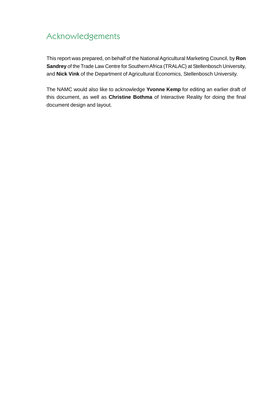# Acknowledgements

This report was prepared, on behalf of the National Agricultural Marketing Council, by **Ron Sandrey** of the Trade Law Centre for Southern Africa (TRALAC) at Stellenbosch University, and **Nick Vink** of the Department of Agricultural Economics, Stellenbosch University.

The NAMC would also like to acknowledge **Yvonne Kemp** for editing an earlier draft of this document, as well as **Christine Bothma** of Interactive Reality for doing the final document design and layout.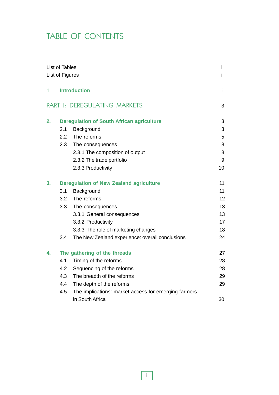# TABLE OF CONTENTS

|    | List of Tables  |                                                      | ii |
|----|-----------------|------------------------------------------------------|----|
|    | List of Figures |                                                      | ii |
|    |                 |                                                      |    |
| 1  |                 | <b>Introduction</b>                                  | 1  |
|    |                 |                                                      |    |
|    |                 | <b>PART I: DEREGULATING MARKETS</b>                  | 3  |
| 2. |                 | <b>Deregulation of South African agriculture</b>     | 3  |
|    | 2.1             | Background                                           | 3  |
|    | 2.2             | The reforms                                          | 5  |
|    | 2.3             | The consequences                                     | 8  |
|    |                 | 2.3.1 The composition of output                      | 8  |
|    |                 | 2.3.2 The trade portfolio                            | 9  |
|    |                 | 2.3.3 Productivity                                   | 10 |
|    |                 |                                                      |    |
| 3. |                 | <b>Deregulation of New Zealand agriculture</b>       | 11 |
|    | 3.1             | Background                                           | 11 |
|    | 3.2             | The reforms                                          | 12 |
|    | 3.3             | The consequences                                     | 13 |
|    |                 | 3.3.1 General consequences                           | 13 |
|    |                 | 3.3.2 Productivity                                   | 17 |
|    |                 | 3.3.3 The role of marketing changes                  | 18 |
|    | 3.4             | The New Zealand experience: overall conclusions      | 24 |
|    |                 |                                                      | 27 |
| 4. |                 | The gathering of the threads                         |    |
|    | 4.1             | Timing of the reforms                                | 28 |
|    | 4.2             | Sequencing of the reforms                            | 28 |
|    | 4.3             | The breadth of the reforms                           | 29 |
|    | 4.4             | The depth of the reforms                             | 29 |
|    | 4.5             | The implications: market access for emerging farmers |    |
|    |                 | in South Africa                                      | 30 |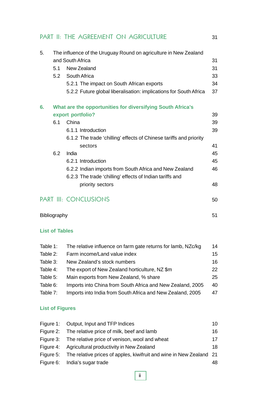### PART II: THE AGREEMENT ON AGRICULTURE 31

| 5. |     | The influence of the Uruguay Round on agriculture in New Zealand   |    |
|----|-----|--------------------------------------------------------------------|----|
|    |     | and South Africa                                                   | 31 |
|    | 5.1 | New Zealand                                                        | 31 |
|    |     | 5.2 South Africa                                                   | 33 |
|    |     | 5.2.1 The impact on South African exports                          | 34 |
|    |     | 5.2.2 Future global liberalisation: implications for South Africa  | 37 |
| 6. |     | What are the opportunities for diversifying South Africa's         |    |
|    |     | export portfolio?                                                  | 39 |
|    | 6.1 | China                                                              | 39 |
|    |     | 6.1.1 Introduction                                                 | 39 |
|    |     | 6.1.2 The trade 'chilling' effects of Chinese tariffs and priority |    |
|    |     | sectors                                                            | 41 |
|    | 6.2 | India                                                              | 45 |
|    |     | 6.2.1 Introduction                                                 | 45 |
|    |     | 6.2.2 Indian imports from South Africa and New Zealand             | 46 |
|    |     | 6.2.3 The trade 'chilling' effects of Indian tariffs and           |    |
|    |     | priority sectors                                                   | 48 |
|    |     | PART III: CONCLUSIONS                                              | 50 |
|    |     |                                                                    |    |

## Bibliography 51

## **List of Tables**

| Table 1: | The relative influence on farm gate returns for lamb, NZc/kg | 14 |
|----------|--------------------------------------------------------------|----|
| Table 2: | Farm income/Land value index                                 | 15 |
| Table 3: | New Zealand's stock numbers                                  | 16 |
| Table 4: | The export of New Zealand horticulture, NZ \$m               | 22 |
| Table 5: | Main exports from New Zealand, % share                       | 25 |
| Table 6: | Imports into China from South Africa and New Zealand, 2005   | 40 |
| Table 7: | Imports into India from South Africa and New Zealand, 2005   | 47 |
|          |                                                              |    |

## **List of Figures**

| Figure 1: Output, Input and TFP Indices                                       | 10 |
|-------------------------------------------------------------------------------|----|
| Figure 2: The relative price of milk, beef and lamb                           | 16 |
| Figure 3: The relative price of venison, wool and wheat                       | 17 |
| Figure 4: Agricultural productivity in New Zealand                            | 18 |
| Figure 5: The relative prices of apples, kiwifruit and wine in New Zealand 21 |    |
| Figure 6: India's sugar trade                                                 | 48 |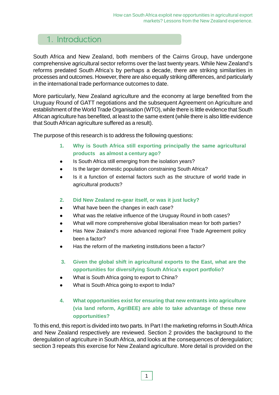# 1. Introduction

South Africa and New Zealand, both members of the Cairns Group, have undergone comprehensive agricultural sector reforms over the last twenty years. While New Zealand's reforms predated South Africa's by perhaps a decade, there are striking similarities in processes and outcomes. However, there are also equally striking differences, and particularly in the international trade performance outcomes to date.

More particularly, New Zealand agriculture and the economy at large benefited from the Uruguay Round of GATT negotiations and the subsequent Agreement on Agriculture and establishment of the World Trade Organisation (WTO), while there is little evidence that South African agriculture has benefited, at least to the same extent (while there is also little evidence that South African agriculture suffered as a result).

The purpose of this research is to address the following questions:

- **1. Why is South Africa still exporting principally the same agricultural products as almost a century ago?**
- Is South Africa still emerging from the isolation years?
- Is the larger domestic population constraining South Africa?
- Is it a function of external factors such as the structure of world trade in agricultural products?
- **2. Did New Zealand re-gear itself, or was it just lucky?**
- What have been the changes in each case?
- What was the relative influence of the Uruguay Round in both cases?
- What will more comprehensive global liberalisation mean for both parties?
- Has New Zealand's more advanced regional Free Trade Agreement policy been a factor?
- Has the reform of the marketing institutions been a factor?
- **3. Given the global shift in agricultural exports to the East, what are the opportunities for diversifying South Africa's export portfolio?**
- What is South Africa going to export to China?
- What is South Africa going to export to India?
- **4. What opportunities exist for ensuring that new entrants into agriculture (via land reform, AgriBEE) are able to take advantage of these new opportunities?**

To this end, this report is divided into two parts. In Part I the marketing reforms in South Africa and New Zealand respectively are reviewed. Section 2 provides the background to the deregulation of agriculture in South Africa, and looks at the consequences of deregulation; section 3 repeats this exercise for New Zealand agriculture. More detail is provided on the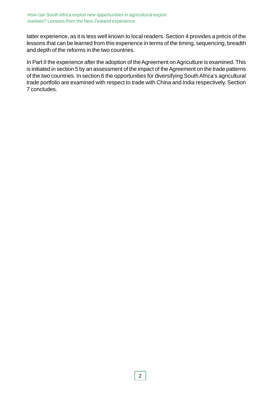latter experience, as it is less well known to local readers. Section 4 provides a précis of the lessons that can be learned from this experience in terms of the timing, sequencing, breadth and depth of the reforms in the two countries.

In Part II the experience after the adoption of the Agreement on Agriculture is examined. This is initiated in section 5 by an assessment of the impact of the Agreement on the trade patterns of the two countries. In section 6 the opportunities for diversifying South Africa's agricultural trade portfolio are examined with respect to trade with China and India respectively. Section 7 concludes.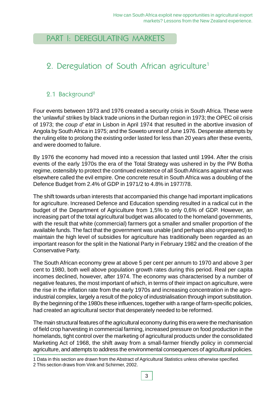## PART I: DEREGULATING MARKETS

# 2. Deregulation of South African agriculture<sup>1</sup>

## 2.1 Background<sup>2</sup>

Four events between 1973 and 1976 created a security crisis in South Africa. These were the 'unlawful' strikes by black trade unions in the Durban region in 1973; the OPEC oil crisis of 1973; the *coup d' etat* in Lisbon in April 1974 that resulted in the abortive invasion of Angola by South Africa in 1975; and the Soweto unrest of June 1976. Desperate attempts by the ruling elite to prolong the existing order lasted for less than 20 years after these events, and were doomed to failure.

By 1976 the economy had moved into a recession that lasted until 1994. After the crisis events of the early 1970s the era of the Total Strategy was ushered in by the PW Botha regime, ostensibly to protect the continued existence of all South Africans against what was elsewhere called the evil empire. One concrete result in South Africa was a doubling of the Defence Budget from 2.4% of GDP in 1971/2 to 4.8% in 1977/78.

The shift towards urban interests that accompanied this change had important implications for agriculture. Increased Defence and Education spending resulted in a radical cut in the budget of the Department of Agriculture from 1,5% to only 0,6% of GDP. However, an increasing part of the total agricultural budget was allocated to the homeland governments, with the result that white (commercial) farmers got a smaller and smaller proportion of the available funds. The fact that the government was unable (and perhaps also unprepared) to maintain the high level of subsidies for agriculture has traditionally been regarded as an important reason for the split in the National Party in February 1982 and the creation of the Conservative Party.

The South African economy grew at above 5 per cent per annum to 1970 and above 3 per cent to 1980, both well above population growth rates during this period. Real per capita incomes declined, however, after 1974. The economy was characterised by a number of negative features, the most important of which, in terms of their impact on agriculture, were the rise in the inflation rate from the early 1970s and increasing concentration in the agroindustrial complex, largely a result of the policy of industrialisation through import substitution. By the beginning of the 1980s these influences, together with a range of farm-specific policies, had created an agricultural sector that desperately needed to be reformed.

The main structural features of the agricultural economy during this era were the mechanisation of field crop harvesting in commercial farming, increased pressure on food production in the homelands, tight control over the marketing of agricultural products under the consolidated Marketing Act of 1968, the shift away from a small-farmer friendly policy in commercial agriculture, and attempts to address the environmental consequences of agricultural policies.

<sup>1</sup> Data in this section are drawn from the Abstract of Agricultural Statistics unless otherwise specified.

<sup>2</sup> This section draws from Vink and Schirmer, 2002.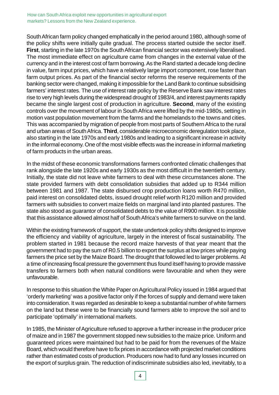South African farm policy changed emphatically in the period around 1980, although some of the policy shifts were initially quite gradual. The process started outside the sector itself. **First**, starting in the late 1970s the South African financial sector was extensively liberalised. The most immediate effect on agriculture came from changes in the external value of the currency and in the interest cost of farm borrowing. As the Rand started a decade long decline in value, farm input prices, which have a relatively large import component, rose faster than farm output prices. As part of the financial sector reforms the reserve requirements of the banking sector were changed, making it impossible for the Land Bank to continue subsidising farmers' interest rates. The use of interest rate policy by the Reserve Bank saw interest rates rise to very high levels during the widespread drought of 1983/4, and interest payments rapidly became the single largest cost of production in agriculture. **Second**, many of the existing controls over the movement of labour in South Africa were lifted by the mid-1980s, setting in motion vast population movement from the farms and the homelands to the towns and cities. This was accompanied by migration of people from most parts of Southern Africa to the rural and urban areas of South Africa. **Third**, considerable microeconomic deregulation took place, also starting in the late 1970s and early 1980s and leading to a significant increase in activity in the informal economy. One of the most visible effects was the increase in informal marketing of farm products in the urban areas.

In the midst of these economic transformations farmers confronted climatic challenges that rank alongside the late 1920s and early 1930s as the most difficult in the twentieth century. Initially, the state did not leave white farmers to deal with these circumstances alone. The state provided farmers with debt consolidation subsidies that added up to R344 million between 1981 and 1987. The state disbursed crop production loans worth R470 million, paid interest on consolidated debts, issued drought relief worth R120 million and provided farmers with subsidies to convert maize fields on marginal land into planted pastures. The state also stood as guarantor of consolidated debts to the value of R900 million. It is possible that this assistance allowed almost half of South Africa's white farmers to survive on the land.

Within the existing framework of support, the state undertook policy shifts designed to improve the efficiency and viability of agriculture, largely in the interest of fiscal sustainability. The problem started in 1981 because the record maize harvests of that year meant that the government had to pay the sum of R0.5 billion to export the surplus at low prices while paying farmers the price set by the Maize Board. The drought that followed led to larger problems. At a time of increasing fiscal pressure the government thus found itself having to provide massive transfers to farmers both when natural conditions were favourable and when they were unfavourable.

In response to this situation the White Paper on Agricultural Policy issued in 1984 argued that 'orderly marketing' was a positive factor only if the forces of supply and demand were taken into consideration. It was regarded as desirable to keep a substantial number of white farmers on the land but these were to be financially sound farmers able to improve the soil and to participate 'optimally' in international markets.

In 1985, the Minister of Agriculture refused to approve a further increase in the producer price of maize and in 1987 the government stopped new subsidies to the maize price. Uniform and guaranteed prices were maintained but had to be paid for from the revenues of the Maize Board, which would therefore have to fix prices in accordance with projected market conditions rather than estimated costs of production. Producers now had to fund any losses incurred on the export of surplus grain. The reduction of indiscriminate subsidies also led, inevitably, to a

4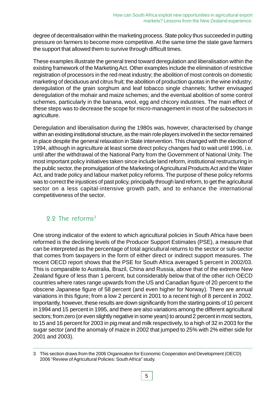degree of decentralisation within the marketing process. State policy thus succeeded in putting pressure on farmers to become more competitive. At the same time the state gave farmers the support that allowed them to survive through difficult times.

**Frozen fries (40%) Fresh fries (19%)** marketing of deciduous and citrus fruit; the abolition of production quotas in the wine industry; These examples illustrate the general trend toward deregulation and liberalisation within the existing framework of the Marketing Act. Other examples include the elimination of restrictive registration of processors in the red meat industry; the abolition of most controls on domestic deregulation of the grain sorghum and leaf tobacco single channels; further envisaged deregulation of the mohair and maize schemes; and the eventual abolition of some control schemes, particularly in the banana, wool, egg and chicory industries. The main effect of these steps was to decrease the scope for micro-management in most of the subsectors in agriculture.

Deregulation and liberalisation during the 1980s was, however, characterised by change within an existing institutional structure, as the main role players involved in the sector remained in place despite the general relaxation in State intervention. This changed with the election of 1994, although in agriculture at least some direct policy changes had to wait until 1996, i.e. until after the withdrawal of the National Party from the Government of National Unity. The most important policy initiatives taken since include land reform, institutional restructuring in the public sector, the promulgation of the Marketing of Agricultural Products Act and the Water Act, and trade policy and labour market policy reforms. The purpose of these policy reforms was to correct the injustices of past policy, principally through land reform, to get the agricultural sector on a less capital-intensive growth path, and to enhance the international competitiveness of the sector.

## $2.2$  The reforms<sup>3</sup>

One strong indicator of the extent to which agricultural policies in South Africa have been reformed is the declining levels of the Producer Support Estimates (PSE), a measure that can be interpreted as the percentage of total agricultural returns to the sector or sub-sector that comes from taxpayers in the form of either direct or indirect support measures. The recent OECD report shows that the PSE for South Africa averaged 5 percent in 2002/03. This is comparable to Australia, Brazil, China and Russia, above that of the extreme New Zealand figure of less than 1 percent, but considerably below that of the other rich OECD countries where rates range upwards from the US and Canadian figure of 20 percent to the obscene Japanese figure of 58 percent (and even higher for Norway). There are annual variations in this figure; from a low 2 percent in 2001 to a recent high of 8 percent in 2002. Importantly, however, these results are down significantly from the starting points of 10 percent in 1994 and 15 percent in 1995, and there are also variations among the different agricultural sectors; from zero (or even slightly negative in some years) to around 2 percent in most sectors, to 15 and 16 percent for 2003 in pig meat and milk respectively, to a high of 32 in 2003 for the sugar sector (and the anomaly of maize in 2002 that jumped to 25% with 2% either side for 2001 and 2003).

<sup>3</sup> This section draws from the 2006 Organisation for Economic Cooperation and Development (OECD) 2006 "Review of Agricultural Policies: South Africa" study.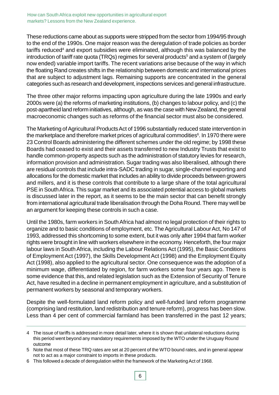These reductions came about as supports were stripped from the sector from 1994/95 through to the end of the 1990s. One major reason was the deregulation of trade policies as border tariffs reduced<sup>4</sup> and export subsidies were eliminated, although this was balanced by the introduction of tariff rate quota (TRQs) regimes for several products<sup>5</sup> and a system of (largely now ended) variable import tariffs. The recent variations arise because of the way in which the floating Rand creates shifts in the relationship between domestic and international prices that are subject to adjustment lags. Remaining supports are concentrated in the general categories such as research and development, inspections services and general infrastructure.

The three other major reforms impacting upon agriculture during the late 1990s and early 2000s were (a) the reforms of marketing institutions, (b) changes to labour policy, and (c) the post-apartheid land reform initiatives, although, as was the case with New Zealand, the general macroeconomic changes such as reforms of the financial sector must also be considered.

The Marketing of Agricultural Products Act of 1996 substantially reduced state intervention in the marketplace and therefore market prices of agricultural commodities<sup>6</sup>. In 1970 there were 23 Control Boards administering the different schemes under the old regime; by 1998 these Boards had ceased to exist and their assets transferred to new Industry Trusts that exist to handle common-property aspects such as the administration of statutory levies for research, information provision and administration. Sugar trading was also liberalised, although there are residual controls that include intra-SADC trading in sugar, single-channel exporting and allocations for the domestic market that includes an ability to divide proceeds between growers and millers, and it is these controls that contribute to a large share of the total agricultural PSE in South Africa. This sugar market and its associated potential access to global markets is discussed later in the report, as it seems to be the main sector that can benefit strongly from international agricultural trade liberalisation through the Doha Round. There may well be an argument for keeping these controls in such a case.

Until the 1980s, farm workers in South Africa had almost no legal protection of their rights to organize and to basic conditions of employment, etc. The Agricultural Labour Act, No 147 of 1993, addressed this shortcoming to some extent, but it was only after 1994 that farm worker rights were brought in line with workers elsewhere in the economy. Henceforth, the four major labour laws in South Africa, including the Labour Relations Act (1995), the Basic Conditions of Employment Act (1997), the Skills Development Act (1998) and the Employment Equity Act (1998), also applied to the agricultural sector. One consequence was the adoption of a minimum wage, differentiated by region, for farm workers some four years ago. There is some evidence that this, and related legislation such as the Extension of Security of Tenure Act, have resulted in a decline in permanent employment in agriculture, and a substitution of permanent workers by seasonal and temporary workers.

Despite the well-formulated land reform policy and well-funded land reform programme (comprising land restitution, land redistribution and tenure reform), progress has been slow. Less than 4 per cent of commercial farmland has been transferred in the past 12 years;

<sup>4</sup> The issue of tariffs is addressed in more detail later, where it is shown that unilateral reductions during this period went beyond any mandatory requirements imposed by the WTO under the Uruguay Round outcome

<sup>5</sup> Note that most of these TRQ rates are set at 20 percent of the WTO bound rates, and in general appear not to act as a major constraint to imports in these products.

<sup>6</sup> This followed a decade of deregulation within the framework of the Marketing Act of 1968.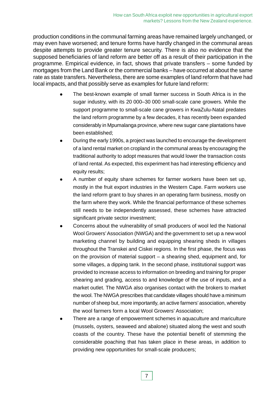production conditions in the communal farming areas have remained largely unchanged, or may even have worsened; and tenure forms have hardly changed in the communal areas despite attempts to provide greater tenure security. There is also no evidence that the supposed beneficiaries of land reform are better off as a result of their participation in the programme. Empirical evidence, in fact, shows that private transfers – some funded by mortgages from the Land Bank or the commercial banks – have occurred at about the same rate as state transfers. Nevertheless, there are some examples of land reform that have had local impacts, and that possibly serve as examples for future land reform:

- The best-known example of small farmer success in South Africa is in the sugar industry, with its 20 000–30 000 small-scale cane growers. While the support programme to small-scale cane growers in KwaZulu-Natal predates the land reform programme by a few decades, it has recently been expanded considerably in Mpumalanga province, where new sugar cane plantations have been established;
- During the early 1990s, a project was launched to encourage the development of a land rental market on cropland in the communal areas by encouraging the traditional authority to adopt measures that would lower the transaction costs of land rental. As expected, this experiment has had interesting efficiency and equity results;
- A number of equity share schemes for farmer workers have been set up, mostly in the fruit export industries in the Western Cape. Farm workers use the land reform grant to buy shares in an operating farm business, mostly on the farm where they work. While the financial performance of these schemes still needs to be independently assessed, these schemes have attracted significant private sector investment;
- Concerns about the vulnerability of small producers of wool led the National Wool Growers' Association (NWGA) and the government to set up a new wool marketing channel by building and equipping shearing sheds in villages throughout the Transkei and Ciskei regions. In the first phase, the focus was on the provision of material support – a shearing shed, equipment and, for some villages, a dipping tank. In the second phase, institutional support was provided to increase access to information on breeding and training for proper shearing and grading, access to and knowledge of the use of inputs, and a market outlet. The NWGA also organises contact with the brokers to market the wool. The NWGA prescribes that candidate villages should have a minimum number of sheep but, more importantly, an active farmers' association, whereby the wool farmers form a local Wool Growers' Association;
- There are a range of empowerment schemes in aquaculture and mariculture (mussels, oysters, seaweed and abalone) situated along the west and south coasts of the country. These have the potential benefit of stemming the considerable poaching that has taken place in these areas, in addition to providing new opportunities for small-scale producers;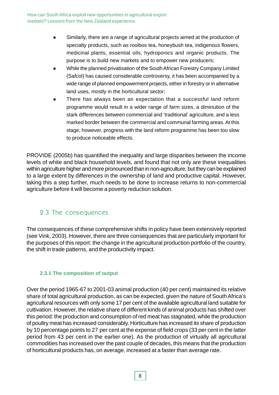- Similarly, there are a range of agricultural projects aimed at the production of specialty products, such as rooibos tea, honeybush tea, indigenous flowers, medicinal plants, essential oils, hydroponics and organic products. The purpose is to build new markets and to empower new producers;
- While the planned privatisation of the South African Forestry Company Limited (Safcol) has caused considerable controversy, it has been accompanied by a wide range of planned empowerment projects, either in forestry or in alternative land uses, mostly in the horticultural sector;
- There has always been an expectation that a successful land reform programme would result in a wider range of farm sizes, a diminution of the stark differences between commercial and 'traditional' agriculture, and a less marked border between the commercial and communal farming areas. At this stage, however, progress with the land reform programme has been too slow to produce noticeable effects.

PROVIDE (2005b) has quantified the inequality and large disparities between the income levels of white and black household levels, and found that not only are these inequalities within agriculture higher and more pronounced than in non-agriculture, but they can be explained to a large extent by differences in the ownership of land and productive capital. However, taking this a step further, much needs to be done to increase returns to non-commercial agriculture before it will become a poverty reduction solution.

## 2.3 The consequences

The consequences of these comprehensive shifts in policy have been extensively reported (see Vink, 2003). However, there are three consequences that are particularly important for the purposes of this report: the change in the agricultural production portfolio of the country, the shift in trade patterns, and the productivity impact.

### **2.3.1 The composition of output**

Over the period 1965-67 to 2001-03 animal production (40 per cent) maintained its relative share of total agricultural production, as can be expected, given the nature of South Africa's agricultural resources with only some 17 per cent of the available agricultural land suitable for cultivation. However, the relative share of different kinds of animal products has shifted over this period: the production and consumption of red meat has stagnated, while the production of poultry meat has increased considerably. Horticulture has increased its share of production by 10 percentage points to 27 per cent at the expense of field crops (33 per cent in the latter period from 43 per cent in the earlier one). As the production of virtually all agricultural commodities has increased over the past couple of decades, this means that the production of horticultural products has, on average, increased at a faster than average rate.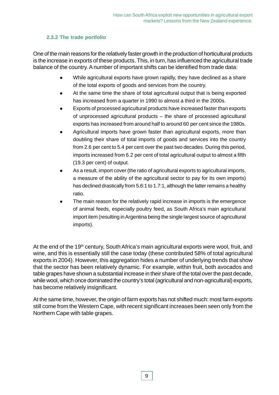### **2.3.2 The trade portfolio**

One of the main reasons for the relatively faster growth in the production of horticultural products is the increase in exports of these products. This, in turn, has influenced the agricultural trade balance of the country. A number of important shifts can be identified from trade data:

- While agricultural exports have grown rapidly, they have declined as a share of the total exports of goods and services from the country.
- At the same time the share of total agricultural output that is being exported has increased from a quarter in 1990 to almost a third in the 2000s.
- Exports of processed agricultural products have increased faster than exports of unprocessed agricultural products – the share of processed agricultural exports has increased from around half to around 60 per cent since the 1980s.
- Agricultural imports have grown faster than agricultural exports, more than doubling their share of total imports of goods and services into the country from 2.6 per cent to 5.4 per cent over the past two decades. During this period, imports increased from 6.2 per cent of total agricultural output to almost a fifth (19.3 per cent) of output.
- As a result, import cover (the ratio of agricultural exports to agricultural imports, a measure of the ability of the agricultural sector to pay for its own imports) has declined drastically from 5.6:1 to 1.7:1, although the latter remains a healthy ratio.
- The main reason for the relatively rapid increase in imports is the emergence of animal feeds, especially poultry feed, as South Africa's main agricultural import item (resulting in Argentina being the single largest source of agricultural imports).

At the end of the 19<sup>th</sup> century, South Africa's main agricultural exports were wool, fruit, and wine, and this is essentially still the case today (these contributed 58% of total agricultural exports in 2004). However, this aggregation hides a number of underlying trends that show that the sector has been relatively dynamic. For example, within fruit, both avocados and table grapes have shown a substantial increase in their share of the total over the past decade, while wool, which once dominated the country's total (agricultural and non-agricultural) exports, has become relatively insignificant.

At the same time, however, the origin of farm exports has not shifted much: most farm exports still come from the Western Cape, with recent significant increases been seen only from the Northern Cape with table grapes.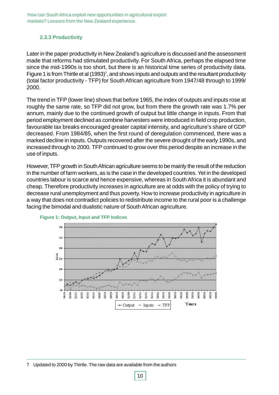### **2.3.3 Productivity**

Later in the paper productivity in New Zealand's agriculture is discussed and the assessment made that reforms had stimulated productivity. For South Africa, perhaps the elapsed time since the mid-1990s is too short, but there is an historical time series of productivity data. Figure 1 is from Thirtle et al  $(1993)^7$ , and shows inputs and outputs and the resultant productivity (total factor productivity - TFP) for South African agriculture from 1947/48 through to 1999/ 2000.

The trend in TFP (lower line) shows that before 1965, the index of outputs and inputs rose at roughly the same rate, so TFP did not grow, but from there the growth rate was 1.7% per annum, mainly due to the continued growth of output but little change in inputs. From that period employment declined as combine harvesters were introduced in field crop production, favourable tax breaks encouraged greater capital intensity, and agriculture's share of GDP decreased. From 1984/85, when the first round of deregulation commenced, there was a marked decline in inputs. Outputs recovered after the severe drought of the early 1990s, and increased through to 2000. TFP continued to grow over this period despite an increase in the use of inputs.

However, TFP growth in South African agriculture seems to be mainly the result of the reduction in the number of farm workers, as is the case in the developed countries. Yet in the developed countries labour is scarce and hence expensive, whereas in South Africa it is abundant and cheap. Therefore productivity increases in agriculture are at odds with the policy of trying to decrease rural unemployment and thus poverty. How to increase productivity in agriculture in a way that does not contradict policies to redistribute income to the rural poor is a challenge facing the bimodal and dualistic nature of South African agriculture.





<sup>7</sup> Updated to 2000 by Thirtle. The raw data are available from the authors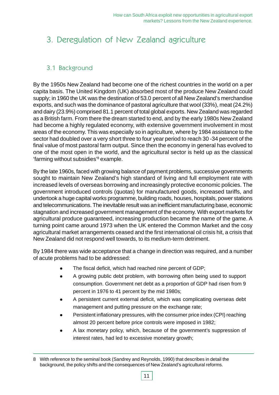# 3. Deregulation of New Zealand agriculture

## 3.1 Background

By the 1950s New Zealand had become one of the richest countries in the world on a per capita basis. The United Kingdom (UK) absorbed most of the produce New Zealand could supply; in 1960 the UK was the destination of 53.0 percent of all New Zealand's merchandise exports, and such was the dominance of pastoral agriculture that wool (33%), meat (24.2%) and dairy (23.9%) comprised 81.1 percent of total global exports. New Zealand was regarded as a British farm. From there the dream started to end, and by the early 1980s New Zealand had become a highly regulated economy, with extensive government involvement in most areas of the economy. This was especially so in agriculture, where by 1984 assistance to the sector had doubled over a very short three to four year period to reach 30 -34 percent of the final value of most pastoral farm output. Since then the economy in general has evolved to one of the most open in the world, and the agricultural sector is held up as the classical 'farming without subsidies' 8 example.

By the late 1960s, faced with growing balance of payment problems, successive governments sought to maintain New Zealand's high standard of living and full employment rate with increased levels of overseas borrowing and increasingly protective economic policies. The government introduced controls (quotas) for manufactured goods, increased tariffs, and undertook a huge capital works programme, building roads, houses, hospitals, power stations and telecommunications. The inevitable result was an inefficient manufacturing base, economic stagnation and increased government management of the economy. With export markets for agricultural produce guaranteed, increasing production became the name of the game. A turning point came around 1973 when the UK entered the Common Market and the cosy agricultural market arrangements ceased and the first international oil crisis hit, a crisis that New Zealand did not respond well towards, to its medium-term detriment.

By 1984 there was wide acceptance that a change in direction was required, and a number of acute problems had to be addressed:

- The fiscal deficit, which had reached nine percent of GDP;
- A growing public debt problem, with borrowing often being used to support consumption. Government net debt as a proportion of GDP had risen from 9 percent in 1976 to 41 percent by the mid 1980s;
- A persistent current external deficit, which was complicating overseas debt management and putting pressure on the exchange rate;
- Persistent inflationary pressures, with the consumer price index (CPI) reaching almost 20 percent before price controls were imposed in 1982;
- A lax monetary policy, which, because of the government's suppression of interest rates, had led to excessive monetary growth;

<sup>8</sup> With reference to the seminal book (Sandrey and Reynolds, 1990) that describes in detail the background, the policy shifts and the consequences of New Zealand's agricultural reforms.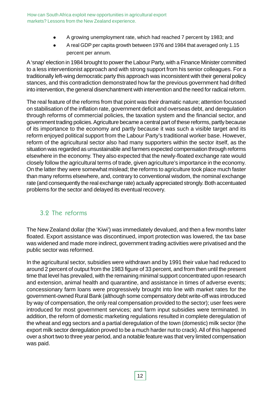- A growing unemployment rate, which had reached 7 percent by 1983; and
- A real GDP per capita growth between 1976 and 1984 that averaged only 1.15 percent per annum.

A 'snap' election in 1984 brought to power the Labour Party, with a Finance Minister committed to a less interventionist approach and with strong support from his senior colleagues. For a traditionally left-wing democratic party this approach was inconsistent with their general policy stances, and this contradiction demonstrated how far the previous government had drifted into intervention, the general disenchantment with intervention and the need for radical reform.

The real feature of the reforms from that point was their dramatic nature; attention focussed on stabilisation of the inflation rate, government deficit and overseas debt, and deregulation through reforms of commercial policies, the taxation system and the financial sector, and government trading policies. Agriculture became a central part of these reforms, partly because of its importance to the economy and partly because it was such a visible target and its reform enjoyed political support from the Labour Party's traditional worker base. However, reform of the agricultural sector also had many supporters within the sector itself, as the situation was regarded as unsustainable and farmers expected compensation through reforms elsewhere in the economy. They also expected that the newly-floated exchange rate would closely follow the agricultural terms of trade, given agriculture's importance in the economy. On the latter they were somewhat mislead; the reforms to agriculture took place much faster than many reforms elsewhere, and, contrary to conventional wisdom, the nominal exchange rate (and consequently the real exchange rate) actually appreciated strongly. Both accentuated problems for the sector and delayed its eventual recovery.

## 3.2 The reforms

The New Zealand dollar (the 'Kiwi') was immediately devalued, and then a few months later floated. Export assistance was discontinued, import protection was lowered, the tax base was widened and made more indirect, government trading activities were privatised and the public sector was reformed.

In the agricultural sector, subsidies were withdrawn and by 1991 their value had reduced to around 2 percent of output from the 1983 figure of 33 percent, and from then until the present time that level has prevailed, with the remaining minimal support concentrated upon research and extension, animal health and quarantine, and assistance in times of adverse events; concessionary farm loans were progressively brought into line with market rates for the government-owned Rural Bank (although some compensatory debt write-off was introduced by way of compensation, the only real compensation provided to the sector); user fees were introduced for most government services; and farm input subsidies were terminated. In addition, the reform of domestic marketing regulations resulted in complete deregulation of the wheat and egg sectors and a partial deregulation of the town (domestic) milk sector (the export milk sector deregulation proved to be a much harder nut to crack). All of this happened over a short two to three year period, and a notable feature was that very limited compensation was paid.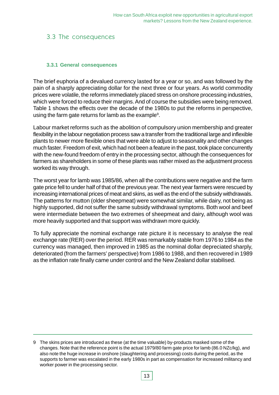### 3.3 The consequences

### **3.3.1 General consequences**

The brief euphoria of a devalued currency lasted for a year or so, and was followed by the pain of a sharply appreciating dollar for the next three or four years. As world commodity prices were volatile, the reforms immediately placed stress on onshore processing industries, which were forced to reduce their margins. And of course the subsidies were being removed. Table 1 shows the effects over the decade of the 1980s to put the reforms in perspective, using the farm gate returns for lamb as the example<sup>9</sup>.

Labour market reforms such as the abolition of compulsory union membership and greater flexibility in the labour negotiation process saw a transfer from the traditional large and inflexible plants to newer more flexible ones that were able to adjust to seasonality and other changes much faster. Freedom of exit, which had not been a feature in the past, took place concurrently with the new-found freedom of entry in the processing sector, although the consequences for farmers as shareholders in some of these plants was rather mixed as the adjustment process worked its way through.

The worst year for lamb was 1985/86, when all the contributions were negative and the farm gate price fell to under half of that of the previous year. The next year farmers were rescued by increasing international prices of meat and skins, as well as the end of the subsidy withdrawals. The patterns for mutton (older sheepmeat) were somewhat similar, while dairy, not being as highly supported, did not suffer the same subsidy withdrawal symptoms. Both wool and beef were intermediate between the two extremes of sheepmeat and dairy, although wool was more heavily supported and that support was withdrawn more quickly.

To fully appreciate the nominal exchange rate picture it is necessary to analyse the real exchange rate (RER) over the period. RER was remarkably stable from 1976 to 1984 as the currency was managed, then improved in 1985 as the nominal dollar depreciated sharply, deteriorated (from the farmers' perspective) from 1986 to 1988, and then recovered in 1989 as the inflation rate finally came under control and the New Zealand dollar stabilised.

<sup>9</sup> The skins prices are introduced as these (at the time valuable) by-products masked some of the changes. Note that the reference point is the actual 1979/80 farm gate price for lamb (86.0 NZc/kg), and also note the huge increase in onshore (slaughtering and processing) costs during the period, as the supports to farmer was escalated in the early 1980s in part as compensation for increased militancy and worker power in the processing sector.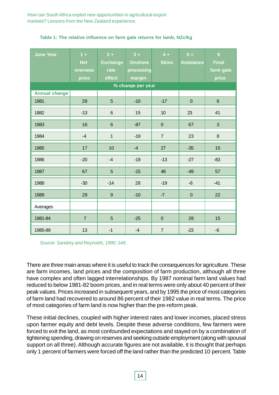| <b>June Year</b>             | $1 +$<br><b>Net</b><br>overseas<br>price | $2 +$<br><b>Exchange</b><br>rate<br>effect | $3 +$<br><b>Onshore</b><br>processing<br>margin | $4 +$<br><b>Skins</b> | $5 =$<br><b>Assistance</b> | $6\phantom{a}$<br><b>Final</b><br>farm gate<br>price |
|------------------------------|------------------------------------------|--------------------------------------------|-------------------------------------------------|-----------------------|----------------------------|------------------------------------------------------|
|                              |                                          |                                            | % change per year                               |                       |                            |                                                      |
| <b>Annual change</b><br>1981 | 28                                       | 5                                          | $-10$                                           | $-17$                 | $\boldsymbol{0}$           | $\,6\,$                                              |
| 1882                         | $-13$                                    | $6\phantom{a}$                             | 15                                              | 10                    | 23                         | 41                                                   |
| 1983                         | 16                                       | $6\phantom{1}$                             | $-87$                                           | $\mathbf 0$           | 67                         | 3                                                    |
| 1984                         | $-4$                                     | $\mathbf{1}$                               | $-19$                                           | $\overline{7}$        | 23                         | 8                                                    |
| 1985                         | 17                                       | 10                                         | $-4$                                            | 27                    | $-35$                      | 15                                                   |
| 1986                         | $-20$                                    | $-4$                                       | $-19$                                           | $-13$                 | $-27$                      | $-83$                                                |
| 1987                         | 67                                       | 5                                          | $-15$                                           | 48                    | $-49$                      | 57                                                   |
| 1988                         | $-30$                                    | $-14$                                      | 28                                              | $-19$                 | $-6$                       | $-41$                                                |
| 1989                         | 29                                       | $\boldsymbol{9}$                           | $-10$                                           | $-7$                  | $\pmb{0}$                  | 22                                                   |
| Averages                     |                                          |                                            |                                                 |                       |                            |                                                      |
| 1981-84                      | $\overline{7}$                           | 5                                          | $-25$                                           | $\mathbf{0}$          | 28                         | 15                                                   |
| 1985-89                      | 13                                       | $-1$                                       | $-4$                                            | $\overline{7}$        | $-23$                      | $-6$                                                 |

#### **Table 1: The relative influence on farm gate returns for lamb, NZc/kg**

*Source: Sandrey and Reynolds, 1990: 149*.

There are three main areas where it is useful to track the consequences for agriculture. These are farm incomes, land prices and the composition of farm production, although all three have complex and often lagged interrelationships. By 1987 nominal farm land values had reduced to below 1981-82 boom prices, and in real terms were only about 40 percent of their peak values. Prices increased in subsequent years, and by 1995 the price of most categories of farm land had recovered to around 86 percent of their 1982 value in real terms. The price of most categories of farm land is now higher than the pre-reform peak.

These initial declines, coupled with higher interest rates and lower incomes, placed stress upon farmer equity and debt levels. Despite these adverse conditions, few farmers were forced to exit the land, as most confounded expectations and stayed on by a combination of tightening spending, drawing on reserves and seeking outside employment (along with spousal support on all three). Although accurate figures are not available, it is thought that perhaps only 1 percent of farmers were forced off the land rather than the predicted 10 percent. Table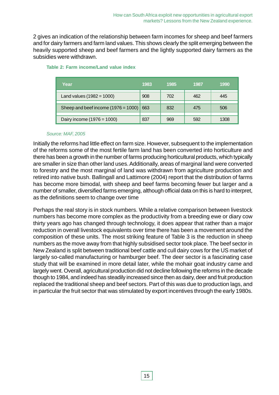2 gives an indication of the relationship between farm incomes for sheep and beef farmers and for dairy farmers and farm land values. This shows clearly the split emerging between the heavily supported sheep and beef farmers and the lightly supported dairy farmers as the subsidies were withdrawn.

| Year                                      | 1983 | 1985 | 1987 | 1990 |
|-------------------------------------------|------|------|------|------|
| Land values $(1982 = 1000)$               | 908  | 702  | 462  | 445  |
| Sheep and beef income $(1976 = 1000)$ 663 |      | 832  | 475  | 506  |
| Dairy income $(1976 = 1000)$              | 837  | 969  | 592  | 1308 |

### **Table 2: Farm income/Land value index**

#### *Source: MAF, 2005*

Initially the reforms had little effect on farm size. However, subsequent to the implementation of the reforms some of the most fertile farm land has been converted into horticulture and there has been a growth in the number of farms producing horticultural products, which typically are smaller in size than other land uses. Additionally, areas of marginal land were converted to forestry and the most marginal of land was withdrawn from agriculture production and retired into native bush. Ballingall and Lattimore (2004) report that the distribution of farms has become more bimodal, with sheep and beef farms becoming fewer but larger and a number of smaller, diversified farms emerging, although official data on this is hard to interpret, as the definitions seem to change over time

Perhaps the real story is in stock numbers. While a relative comparison between livestock numbers has become more complex as the productivity from a breeding ewe or diary cow thirty years ago has changed through technology, it does appear that rather than a major reduction in overall livestock equivalents over time there has been a movement around the composition of these units. The most striking feature of Table 3 is the reduction in sheep numbers as the move away from that highly subsidised sector took place. The beef sector in New Zealand is split between traditional beef cattle and cull dairy cows for the US market of largely so-called manufacturing or hamburger beef. The deer sector is a fascinating case study that will be examined in more detail later, while the mohair goat industry came and largely went. Overall, agricultural production did not decline following the reforms in the decade though to 1984, and indeed has steadily increased since then as dairy, deer and fruit production replaced the traditional sheep and beef sectors. Part of this was due to production lags, and in particular the fruit sector that was stimulated by export incentives through the early 1980s.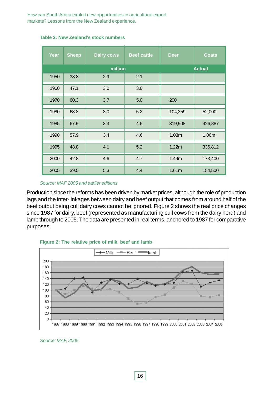| <b>Year</b> | <b>Sheep</b> | <b>Dairy cows</b> | <b>Beef cattle</b> | <b>Deer</b>       | <b>Goats</b> |
|-------------|--------------|-------------------|--------------------|-------------------|--------------|
|             |              | million           |                    | <b>Actual</b>     |              |
| 1950        | 33.8         | 2.9               | 2.1                |                   |              |
| 1960        | 47.1         | 3.0               | 3.0                |                   |              |
| 1970        | 60.3         | 3.7               | 5.0                | 200               |              |
| 1980        | 68.8         | 3.0               | 5.2                | 104,359           | 52,000       |
| 1985        | 67.9         | 3.3               | 4.6                | 319,908           | 426,887      |
| 1990        | 57.9         | 3.4               | 4.6                | 1.03m             | 1.06m        |
| 1995        | 48.8         | 4.1               | 5.2                | 1.22m             | 336,812      |
| 2000        | 42.8         | 4.6               | 4.7                | 1.49m             | 173,400      |
| 2005        | 39.5         | 5.3               | 4.4                | 1.61 <sub>m</sub> | 154,500      |

**Table 3: New Zealand's stock numbers**

#### *Source: MAF 2005 and earlier editions*

Production since the reforms has been driven by market prices, although the role of production lags and the inter-linkages between dairy and beef output that comes from around half of the beef output being cull dairy cows cannot be ignored. Figure 2 shows the real price changes since 1987 for dairy, beef (represented as manufacturing cull cows from the dairy herd) and lamb through to 2005. The data are presented in real terms, anchored to 1987 for comparative purposes.





*Source: MAF, 2005*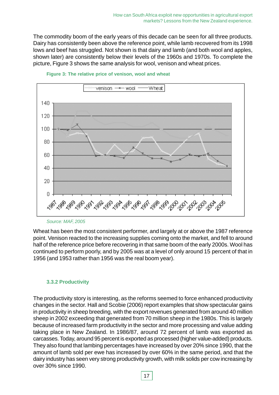The commodity boom of the early years of this decade can be seen for all three products. Dairy has consistently been above the reference point, while lamb recovered from its 1998 lows and beef has struggled. Not shown is that dairy and lamb (and both wool and apples, shown later) are consistently below their levels of the 1960s and 1970s. To complete the picture, Figure 3 shows the same analysis for wool, venison and wheat prices.





*Source: MAF, 2005*

Wheat has been the most consistent performer, and largely at or above the 1987 reference point. Venison reacted to the increasing supplies coming onto the market, and fell to around half of the reference price before recovering in that same boom of the early 2000s. Wool has continued to perform poorly, and by 2005 was at a level of only around 15 percent of that in 1956 (and 1953 rather than 1956 was the real boom year).

### **3.3.2 Productivity**

The productivity story is interesting, as the reforms seemed to force enhanced productivity changes in the sector. Hall and Scobie (2006) report examples that show spectacular gains in productivity in sheep breeding, with the export revenues generated from around 40 million sheep in 2002 exceeding that generated from 70 million sheep in the 1980s. This is largely because of increased farm productivity in the sector and more processing and value adding taking place in New Zealand. In 1986/87, around 72 percent of lamb was exported as carcasses. Today, around 95 percent is exported as processed (higher value-added) products. They also found that lambing percentages have increased by over 20% since 1990, that the amount of lamb sold per ewe has increased by over 60% in the same period, and that the dairy industry has seen very strong productivity growth, with milk solids per cow increasing by over 30% since 1990.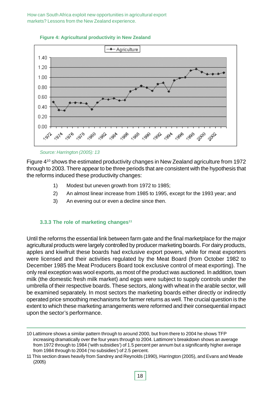



*Source: Harrington (2005): 13*

Figure 4<sup>10</sup> shows the estimated productivity changes in New Zealand agriculture from 1972 through to 2003. There appear to be three periods that are consistent with the hypothesis that the reforms induced these productivity changes:

- 1) Modest but uneven growth from 1972 to 1985;
- 2) An almost linear increase from 1985 to 1995, except for the 1993 year; and
- 3) An evening out or even a decline since then.

### **3.3.3 The role of marketing changes11**

Until the reforms the essential link between farm gate and the final marketplace for the major agricultural products were largely controlled by producer marketing boards. For dairy products, apples and kiwifruit these boards had exclusive export powers, while for meat exporters were licensed and their activities regulated by the Meat Board (from October 1982 to December 1985 the Meat Producers Board took exclusive control of meat exporting). The only real exception was wool exports, as most of the product was auctioned. In addition, town milk (the domestic fresh milk market) and eggs were subject to supply controls under the umbrella of their respective boards. These sectors, along with wheat in the arable sector, will be examined separately. In most sectors the marketing boards either directly or indirectly operated price smoothing mechanisms for farmer returns as well. The crucial question is the extent to which these marketing arrangements were reformed and their consequential impact upon the sector's performance.

<sup>10</sup> Lattimore shows a similar pattern through to around 2000, but from there to 2004 he shows TFP increasing dramatically over the four years through to 2004. Lattimore's breakdown shows an average from 1972 through to 1984 ('with subsidies') of 1.5 percent per annum but a significantly higher average from 1984 through to 2004 ('no subsidies') of 2.5 percent.

<sup>11</sup> This section draws heavily from Sandrey and Reynolds (1990), Harrington (2005), and Evans and Meade (2005)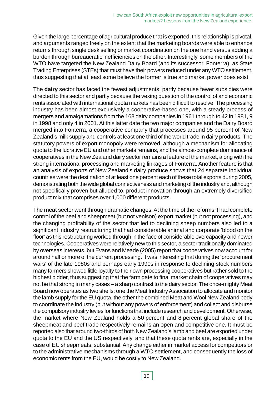Given the large percentage of agricultural produce that is exported, this relationship is pivotal, and arguments ranged freely on the extent that the marketing boards were able to enhance returns through single desk selling or market coordination on the one hand versus adding a burden through bureaucratic inefficiencies on the other. Interestingly, some members of the WTO have targeted the New Zealand Dairy Board (and its successor, Fonterra), as State Trading Enterprises (STEs) that must have their powers reduced under any WTO settlement, thus suggesting that at least some believe the former is true and market power does exist.

The **dairy** sector has faced the fewest adjustments; partly because fewer subsidies were directed to this sector and partly because the vexing question of the control of and economic rents associated with international quota markets has been difficult to resolve. The processing industry has been almost exclusively a cooperative-based one, with a steady process of mergers and amalgamations from the 168 dairy companies in 1961 through to 42 in 1981, 9 in 1998 and only 4 in 2001. At this latter date the two major companies and the Dairy Board merged into Fonterra, a cooperative company that processes around 95 percent of New Zealand's milk supply and controls at least one third of the world trade in dairy products. The statutory powers of export monopoly were removed, although a mechanism for allocating quota to the lucrative EU and other markets remains, and the almost-complete dominance of cooperatives in the New Zealand dairy sector remains a feature of the market, along with the strong international processing and marketing linkages of Fonterra. Another feature is that an analysis of exports of New Zealand's dairy produce shows that 24 separate individual countries were the destination of at least one percent each of these total exports during 2005, demonstrating both the wide global connectiveness and marketing of the industry and, although not specifically proven but alluded to, product innovation through an extremely diversified product mix that comprises over 1,000 different products.

The **meat** sector went through dramatic changes. At the time of the reforms it had complete control of the beef and sheepmeat (but not venison) export market (but not processing), and the changing profitability of the sector that led to declining sheep numbers also led to a significant industry restructuring that had considerable animal and corporate 'blood on the floor' as this restructuring worked through in the face of considerable overcapacity and newer technologies. Cooperatives were relatively new to this sector, a sector traditionally dominated by overseas interests, but Evans and Meade (2005) report that cooperatives now account for around half or more of the current processing. It was interesting that during the 'procurement wars' of the late 1980s and perhaps early 1990s in response to declining stock numbers many farmers showed little loyalty to their own processing cooperatives but rather sold to the highest bidder, thus suggesting that the farm gate to final market chain of cooperatives may not be that strong in many cases – a sharp contrast to the dairy sector. The once-mighty Meat Board now operates as two shells; one the Meat Industry Association to allocate and monitor the lamb supply for the EU quota, the other the combined Meat and Wool New Zealand body to coordinate the industry (but without any powers of enforcement) and collect and disburse the compulsory industry levies for functions that include research and development. Otherwise, the market where New Zealand holds a 50 percent and 8 percent global share of the sheepmeat and beef trade respectively remains an open and competitive one. It must be reported also that around two-thirds of both New Zealand's lamb and beef are exported under quota to the EU and the US respectively, and that these quota rents are, especially in the case of EU sheepmeats, substantial. Any change either in market access for competitors or to the administrative mechanisms through a WTO settlement, and consequently the loss of economic rents from the EU, would be costly to New Zealand.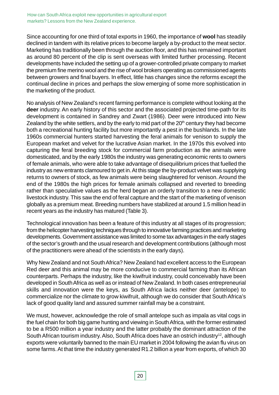Since accounting for one third of total exports in 1960, the importance of **wool** has steadily declined in tandem with its relative prices to become largely a by-product to the meat sector. Marketing has traditionally been through the auction floor, and this has remained important as around 80 percent of the clip is sent overseas with limited further processing. Recent developments have included the setting up of a grower-controlled private company to market the premium fine merino wool and the rise of wool brokers operating as commissioned agents between growers and final buyers. In effect, little has changes since the reforms except the continual decline in prices and perhaps the slow emerging of some more sophistication in the marketing of the product.

No analysis of New Zealand's recent farming performance is complete without looking at the **deer** industry. An early history of this sector and the associated projected time-path for its development is contained in Sandrey and Zwart (1986). Deer were introduced into New Zealand by the white settlers, and by the early to mid part of the  $20<sup>th</sup>$  century they had become both a recreational hunting facility but more importantly a pest in the bushlands. In the late 1960s commercial hunters started harvesting the feral animals for venison to supply the European market and velvet for the lucrative Asian market. In the 1970s this evolved into capturing the feral breeding stock for commercial farm production as the animals were domesticated, and by the early 1980s the industry was generating economic rents to owners of female animals, who were able to take advantage of disequilibrium prices that fuelled the industry as new entrants clamoured to get in. At this stage the by-product velvet was supplying returns to owners of stock, as few animals were being slaughtered for venison. Around the end of the 1980s the high prices for female animals collapsed and reverted to breeding rather than speculative values as the herd began an orderly transition to a new domestic livestock industry. This saw the end of feral capture and the start of the marketing of venison globally as a premium meat. Breeding numbers have stabilized at around 1.5 million head in recent years as the industry has matured (Table 3).

Technological innovation has been a feature of this industry at all stages of its progression; from the helicopter harvesting techniques through to innovative farming practices and marketing developments. Government assistance was limited to some tax advantages in the early stages of the sector's growth and the usual research and development contributions (although most of the practitioners were ahead of the scientists in the early days).

Why New Zealand and not South Africa? New Zealand had excellent access to the European Red deer and this animal may be more conducive to commercial farming than its African counterparts. Perhaps the industry, like the kiwifruit industry, could conceivably have been developed in South Africa as well as or instead of New Zealand. In both cases entrepreneurial skills and innovation were the keys, as South Africa lacks neither deer (antelope) to commercialize nor the climate to grow kiwifruit, although we do consider that South Africa's lack of good quality land and assured summer rainfall may be a constraint.

We must, however, acknowledge the role of small antelope such as impala as vital cogs in the fuel chain for both big game hunting and viewing in South Africa, with the former estimated to be a R500 million a year industry and the latter probably the dominant attraction of the South African tourism industry. Also, South Africa does have an ostrich industry<sup>12</sup>, although exports were voluntarily banned to the main EU market in 2004 following the avian flu virus on some farms. At that time the industry generated R1.2 billion a year from exports, of which 30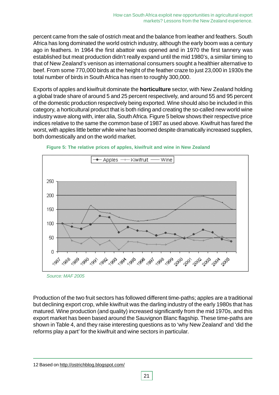percent came from the sale of ostrich meat and the balance from leather and feathers. South Africa has long dominated the world ostrich industry, although the early boom was a century ago in feathers. In 1964 the first abattoir was opened and in 1970 the first tannery was established but meat production didn't really expand until the mid 1980's, a similar timing to that of New Zealand's venison as international consumers sought a healthier alternative to beef. From some 770,000 birds at the height of the feather craze to just 23,000 in 1930s the total number of birds in South Africa has risen to roughly 300,000.

Exports of apples and kiwifruit dominate the **horticulture** sector, with New Zealand holding a global trade share of around 5 and 25 percent respectively, and around 55 and 95 percent of the domestic production respectively being exported. Wine should also be included in this category, a horticultural product that is both riding and creating the so-called new world wine industry wave along with, inter alia, South Africa. Figure 5 below shows their respective price indices relative to the same the common base of 1987 as used above. Kiwifruit has fared the worst, with apples little better while wine has boomed despite dramatically increased supplies, both domestically and on the world market.





Production of the two fruit sectors has followed different time-paths; apples are a traditional but declining export crop, while kiwifruit was the darling industry of the early 1980s that has matured. Wine production (and quality) increased significantly from the mid 1970s, and this export market has been based around the Sauvignon Blanc flagship. These time-paths are shown in Table 4, and they raise interesting questions as to 'why New Zealand' and 'did the reforms play a part' for the kiwifruit and wine sectors in particular.

<sup>12</sup> Based on http://ostrichblog.blogspot.com/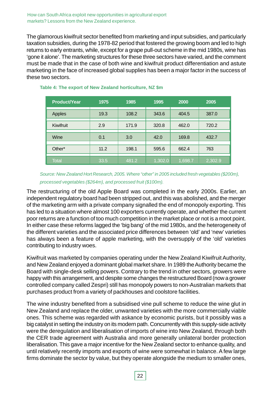The glamorous kiwifruit sector benefited from marketing and input subsidies, and particularly taxation subsidies, during the 1978-82 period that fostered the growing boom and led to high returns to early entrants, while, except for a grape pull-out scheme in the mid 1980s, wine has 'gone it alone'. The marketing structures for these three sectors have varied, and the comment must be made that in the case of both wine and kiwifruit product differentiation and astute marketing in the face of increased global supplies has been a major factor in the success of these two sectors.

| <b>Product/Year</b> | 1975 | 1985  | 1995    | 2000    | 2005    |
|---------------------|------|-------|---------|---------|---------|
| Apples              | 19.3 | 108.2 | 343.6   | 404.5   | 387.0   |
| Kiwifruit           | 2.9  | 171.9 | 320.8   | 462.0   | 720.2   |
| Wine                | 0.1  | 3.0   | 42.0    | 169.8   | 432.7   |
| Other*              | 11.2 | 198.1 | 595.6   | 662.4   | 763     |
| <b>Total</b>        | 33.5 | 481.2 | 1,302.0 | 1,698.7 | 2,302.9 |

### **Table 4: The export of New Zealand horticulture, NZ \$m**

*Source: New Zealand Hort Research, 2005. Where "other" in 2005 included fresh vegetables (\$200m), processed vegetables (\$264m), and processed fruit (\$100m).*

The restructuring of the old Apple Board was completed in the early 2000s. Earlier, an independent regulatory board had been stripped out, and this was abolished, and the merger of the marketing arm with a private company signalled the end of monopoly exporting. This has led to a situation where almost 100 exporters currently operate, and whether the current poor returns are a function of too much competition in the market place or not is a moot point. In either case these reforms lagged the 'big bang' of the mid 1980s, and the heterogeneity of the different varieties and the associated price differences between 'old' and 'new' varieties has always been a feature of apple marketing, with the oversupply of the 'old' varieties contributing to industry woes.

Kiwifruit was marketed by companies operating under the New Zealand Kiwifruit Authority, and New Zealand enjoyed a dominant global market share. In 1989 the Authority became the Board with single-desk selling powers. Contrary to the trend in other sectors, growers were happy with this arrangement, and despite some changes the restructured Board (now a grower controlled company called Zespri) still has monopoly powers to non-Australian markets that purchases product from a variety of packhouses and coolstore facilities.

The wine industry benefited from a subsidised vine pull scheme to reduce the wine glut in New Zealand and replace the older, unwanted varieties with the more commercially viable ones. This scheme was regarded with askance by economic purists, but it possibly was a big catalyst in setting the industry on its modern path. Concurrently with this supply-side activity were the deregulation and liberalisation of imports of wine into New Zealand, through both the CER trade agreement with Australia and more generally unilateral border protection liberalisation. This gave a major incentive for the New Zealand sector to enhance quality, and until relatively recently imports and exports of wine were somewhat in balance. A few large firms dominate the sector by value, but they operate alongside the medium to smaller ones,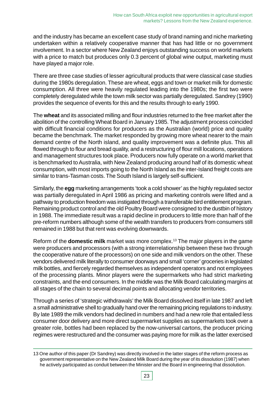and the industry has became an excellent case study of brand naming and niche marketing undertaken within a relatively cooperative manner that has had little or no government involvement. In a sector where New Zealand enjoys outstanding success on world markets with a price to match but produces only 0.3 percent of global wine output, marketing must have played a major role.

There are three case studies of lesser agricultural products that were classical case studies during the 1980s deregulation. These are wheat, eggs and town or market milk for domestic consumption. All three were heavily regulated leading into the 1980s; the first two were completely deregulated while the town milk sector was partially deregulated. Sandrey (1990) provides the sequence of events for this and the results through to early 1990.

The **wheat** and its associated milling and flour industries returned to the free market after the abolition of the controlling Wheat Board in January 1985. The adjustment process coincided with difficult financial conditions for producers as the Australian (world) price and quality became the benchmark. The market responded by growing more wheat nearer to the main demand centre of the North island, and quality improvement was a definite plus. This all flowed through to flour and bread quality, and a restructuring of flour mill locations, operations and management structures took place. Producers now fully operate on a world market that is benchmarked to Australia, with New Zealand producing around half of its domestic wheat consumption, with most imports going to the North Island as the inter-Island freight costs are similar to trans-Tasman costs. The South Island is largely self-sufficient.

Similarly, the **egg** marketing arrangements 'took a cold shower' as the highly regulated sector was partially deregulated in April 1986 as pricing and marketing controls were lifted and a pathway to production freedom was instigated through a transferable bird entitlement program. Remaining product control and the old Poultry Board were consigned to the dustbin of history in 1988. The immediate result was a rapid decline in producers to little more than half of the pre-reform numbers although some of the wealth transfers to producers from consumers still remained in 1988 but that rent was evolving downwards.

Reform of the **domestic milk** market was more complex.13 The major players in the game were producers and processors (with a strong interrelationship between these two through the cooperative nature of the processors) on one side and milk vendors on the other. These vendors delivered milk literally to consumer doorways and small 'corner' groceries in legislated milk bottles, and fiercely regarded themselves as independent operators and not employees of the processing plants. Minor players were the supermarkets who had strict marketing constraints, and the end consumers. In the middle was the Milk Board calculating margins at all stages of the chain to several decimal points and allocating vendor territories.

Through a series of 'strategic withdrawals' the Milk Board dissolved itself in late 1987 and left a small administrative shell to gradually hand over the remaining pricing regulations to industry. By late 1989 the milk vendors had declined in numbers and had a new role that entailed less consumer door delivery and more direct supermarket supplies as supermarkets took over a greater role, bottles had been replaced by the now-universal cartons, the producer pricing regimes were restructured and the consumer was paying more for milk as the latter exercised

<sup>13</sup> One author of this paper (Dr Sandrey) was directly involved in the latter stages of the reform process as government representative on the New Zealand Milk Board during the year of its dissolution (1987) when he actively participated as conduit between the Minister and the Board in engineering that dissolution.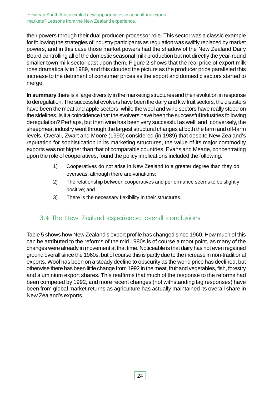their powers through their dual producer-processor role. This sector was a classic example for following the strategies of industry participants as regulation was swiftly replaced by market powers, and in this case those market powers had the shadow of the New Zealand Dairy Board controlling all of the domestic seasonal milk production but not directly the year-round smaller town milk sector cast upon them. Figure 2 shows that the real price of export milk rose dramatically in 1989, and this clouded the picture as the producer price paralleled this increase to the detriment of consumer prices as the export and domestic sectors started to merge.

**In summary** there is a large diversity in the marketing structures and their evolution in response to deregulation. The successful evolvers have been the dairy and kiwifruit sectors, the disasters have been the meat and apple sectors, while the wool and wine sectors have really stood on the sidelines. Is it a coincidence that the evolvers have been the successful industries following deregulation? Perhaps, but then wine has been very successful as well, and, conversely, the sheepmeat industry went through the largest structural changes at both the farm and off-farm levels. Overall, Zwart and Moore (1990) considered (in 1989) that despite New Zealand's reputation for sophistication in its marketing structures, the value of its major commodity exports was not higher than that of comparable countries. Evans and Meade, concentrating upon the role of cooperatives, found the policy implications included the following:

- 1) Cooperatives do not arise in New Zealand to a greater degree than they do overseas, although there are variations;
- 2) The relationship between cooperatives and performance seems to be slightly positive; and
- 3) There is the necessary flexibility in their structures.

## 3.4 The New Zealand experience: overall conclusions

Table 5 shows how New Zealand's export profile has changed since 1960. How much of this can be attributed to the reforms of the mid 1980s is of course a moot point, as many of the changes were already in movement at that time. Noticeable is that dairy has not even regained ground overall since the 1960s, but of course this is partly due to the increase in non-traditional exports. Wool has been on a steady decline to obscurity as the world price has declined, but otherwise there has been little change from 1992 in the meat, fruit and vegetables, fish, forestry and aluminium export shares. This reaffirms that much of the response to the reforms had been competed by 1992, and more recent changes (not withstanding lag responses) have been from global market returns as agriculture has actually maintained its overall share in New Zealand's exports.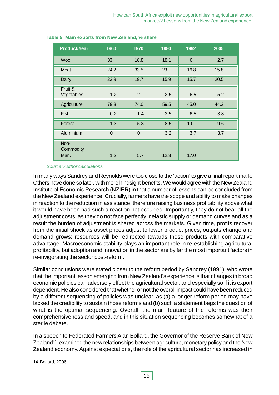| <b>Product/Year</b>       | 1960           | 1970           | 1980             | 1992             | 2005             |
|---------------------------|----------------|----------------|------------------|------------------|------------------|
| Wool                      | 33             | 18.8           | 18.1             | 6                | 2.7              |
| Meat                      | 24.2           | 33.5           | 23               | 16.8             | 15.8             |
| Dairy                     | 23.9           | 19.7           | 15.9             | 15.7             | 20.5             |
| Fruit &<br>Vegetables     | 1.2            | $\overline{2}$ | 2.5              | 6.5              | 5.2              |
| Agriculture               | 79.3           | 74.0           | 59.5             | 45.0             | 44.2             |
| Fish                      | 0.2            | 1.4            | 2.5              | 6.5              | 3.8              |
| Forest                    | 1.3            | 5.8            | 8.5              | 10               | 9.6              |
| <b>Aluminium</b>          | $\overline{0}$ | $\overline{0}$ | $\overline{3.2}$ | $\overline{3.7}$ | $\overline{3.7}$ |
| Non-<br>Commodity<br>Man. | 1.2            | 5.7            | 12.8             | 17.0             |                  |

**Table 5: Main exports from New Zealand, % share**

*Source: Author calculations*

In many ways Sandrey and Reynolds were too close to the 'action' to give a final report mark. Others have done so later, with more hindsight benefits. We would agree with the New Zealand Institute of Economic Research (NZIER) in that a number of lessons can be concluded from the New Zealand experience. Crucially, farmers have the scope and ability to make changes in reaction to the reduction in assistance, therefore raising business profitability above what it would have been had such a reaction not occurred. Importantly, they do not bear all the adjustment costs, as they do not face perfectly inelastic supply or demand curves and as a result the burden of adjustment is shared across the markets. Given time, profits recover from the initial shock as asset prices adjust to lower product prices, outputs change and demand grows: resources will be redirected towards those products with comparative advantage. Macroeconomic stability plays an important role in re-establishing agricultural profitability, but adoption and innovation in the sector are by far the most important factors in re-invigorating the sector post-reform.

Similar conclusions were stated closer to the reform period by Sandrey (1991), who wrote that the important lesson emerging from New Zealand's experience is that changes in broad economic policies can adversely effect the agricultural sector, and especially so if it is export dependent. He also considered that whether or not the overall impact could have been reduced by a different sequencing of policies was unclear, as (a) a longer reform period may have lacked the credibility to sustain those reforms and (b) such a statement begs the question of what is the optimal sequencing. Overall, the main feature of the reforms was their comprehensiveness and speed, and in this situation sequencing becomes somewhat of a sterile debate.

In a speech to Federated Farmers Alan Bollard, the Governor of the Reserve Bank of New Zealand<sup>14</sup>, examined the new relationships between agriculture, monetary policy and the New Zealand economy. Against expectations, the role of the agricultural sector has increased in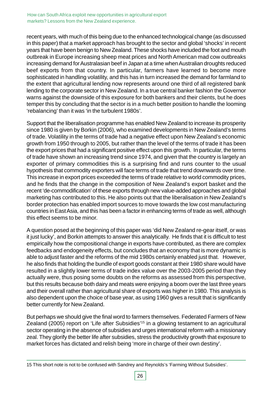recent years, with much of this being due to the enhanced technological change (as discussed in this paper) that a market approach has brought to the sector and global 'shocks' in recent years that have been benign to New Zealand. These shocks have included the foot and mouth outbreak in Europe increasing sheep meat prices and North American mad cow outbreaks increasing demand for Australasian beef in Japan at a time when Australian droughts reduced beef exports from that country. In particular, farmers have learned to become more sophisticated in handling volatility, and this has in turn increased the demand for farmland to the extent that agricultural lending now represents around one third of all registered bank lending to the corporate sector in New Zealand. In a true central banker fashion the Governor warns against the downside of this exposure for both bankers and their clients, but he does temper this by concluding that the sector is in a much better position to handle the looming 'rebalancing' than it was 'in the turbulent 1980s'.

Support that the liberalisation programme has enabled New Zealand to increase its prosperity since 1980 is given by Borkin (2006), who examined developments in New Zealand's terms of trade. Volatility in the terms of trade had a negative effect upon New Zealand's economic growth from 1950 through to 2005, but rather than the level of the terms of trade it has been the export prices that had a significant positive effect upon this growth. In particular, the terms of trade have shown an increasing trend since 1974, and given that the country is largely an exporter of primary commodities this is a surprising find and runs counter to the usual hypothesis that commodity exporters will face terms of trade that trend downwards over time. This increase in export prices exceeded the terms of trade relative to world commodity prices, and he finds that the change in the composition of New Zealand's export basket and the recent 'de-commodification' of these exports through new value-added approaches and global marketing has contributed to this. He also points out that the liberalisation in New Zealand's border protection has enabled import sources to move towards the low cost manufacturing countries in East Asia, and this has been a factor in enhancing terms of trade as well, although this effect seems to be minor.

A question posed at the beginning of this paper was 'did New Zealand re-gear itself, or was it just lucky', and Borkin attempts to answer this analytically. He finds that it is difficult to test empirically how the compositional change in exports have contributed, as there are complex feedbacks and endogeneity effects, but concludes that an economy that is more dynamic is able to adjust faster and the reforms of the mid 1980s certainly enabled just that. However, he also finds that holding the bundle of export goods constant at their 1980 share would have resulted in a slightly lower terms of trade index value over the 2003-2005 period than they actually were, thus posing some doubts on the reforms as assessed from this perspective, but this results because both dairy and meats were enjoying a boom over the last three years and their overall rather than agricultural share of exports was higher in 1980. This analysis is also dependent upon the choice of base year, as using 1960 gives a result that is significantly better currently for New Zealand.

But perhaps we should give the final word to farmers themselves. Federated Farmers of New Zealand (2005) report on 'Life after Subsidies' 15 in a glowing testament to an agricultural sector operating in the absence of subsidies and urges international reform with a missionary zeal. They glorify the better life after subsidies, stress the productivity growth that exposure to market forces has dictated and relish being 'more in charge of their own destiny'.

<sup>15</sup> This short note is not to be confused with Sandrey and Reynolds's 'Farming Without Subsidies'.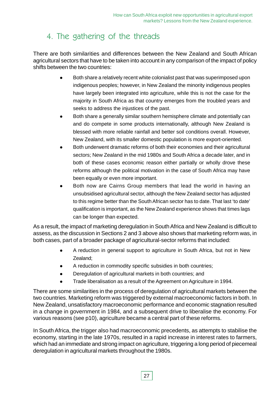# 4. The gathering of the threads

There are both similarities and differences between the New Zealand and South African agricultural sectors that have to be taken into account in any comparison of the impact of policy shifts between the two countries:

- Both share a relatively recent white colonialist past that was superimposed upon indigenous peoples; however, in New Zealand the minority indigenous peoples have largely been integrated into agriculture, while this is not the case for the majority in South Africa as that country emerges from the troubled years and seeks to address the injustices of the past.
- Both share a generally similar southern hemisphere climate and potentially can and do compete in some products internationally, although New Zealand is blessed with more reliable rainfall and better soil conditions overall. However, New Zealand, with its smaller domestic population is more export-oriented.
- Both underwent dramatic reforms of both their economies and their agricultural sectors; New Zealand in the mid 1980s and South Africa a decade later, and in both of these cases economic reason either partially or wholly drove these reforms although the political motivation in the case of South Africa may have been equally or even more important.
- Both now are Cairns Group members that lead the world in having an unsubsidised agricultural sector, although the New Zealand sector has adjusted to this regime better than the South African sector has to date. That last 'to date' qualification is important, as the New Zealand experience shows that times lags can be longer than expected.

As a result, the impact of marketing deregulation in South Africa and New Zealand is difficult to assess, as the discussion in Sections 2 and 3 above also shows that marketing reform was, in both cases, part of a broader package of agricultural-sector reforms that included:

- A reduction in general support to agriculture in South Africa, but not in New Zealand;
- A reduction in commodity specific subsidies in both countries;
- Deregulation of agricultural markets in both countries; and
- Trade liberalisation as a result of the Agreement on Agriculture in 1994.

There are some similarities in the process of deregulation of agricultural markets between the two countries. Marketing reform was triggered by external macroeconomic factors in both. In New Zealand, unsatisfactory macroeconomic performance and economic stagnation resulted in a change in government in 1984, and a subsequent drive to liberalise the economy. For various reasons (see p10), agriculture became a central part of these reforms.

In South Africa, the trigger also had macroeconomic precedents, as attempts to stabilise the economy, starting in the late 1970s, resulted in a rapid increase in interest rates to farmers, which had an immediate and strong impact on agriculture, triggering a long period of piecemeal deregulation in agricultural markets throughout the 1980s.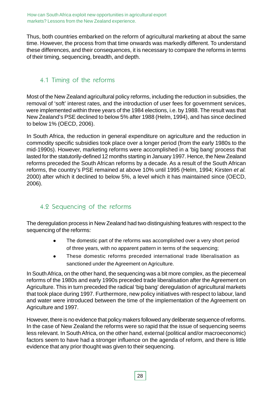Thus, both countries embarked on the reform of agricultural marketing at about the same time. However, the process from that time onwards was markedly different. To understand these differences, and their consequences, it is necessary to compare the reforms in terms of their timing, sequencing, breadth, and depth.

## 4.1 Timing of the reforms

Most of the New Zealand agricultural policy reforms, including the reduction in subsidies, the removal of 'soft' interest rates, and the introduction of user fees for government services, were implemented within three years of the 1984 elections, i.e. by 1988. The result was that New Zealand's PSE declined to below 5% after 1988 (Helm, 1994), and has since declined to below 1% (OECD, 2006).

In South Africa, the reduction in general expenditure on agriculture and the reduction in commodity specific subsidies took place over a longer period (from the early 1980s to the mid-1990s). However, marketing reforms were accomplished in a 'big bang' process that lasted for the statutorily-defined 12 months starting in January 1997. Hence, the New Zealand reforms preceded the South African reforms by a decade. As a result of the South African reforms, the country's PSE remained at above 10% until 1995 (Helm, 1994; Kirsten *et al.* 2000) after which it declined to below 5%, a level which it has maintained since (OECD, 2006).

## 4.2 Sequencing of the reforms

The deregulation process in New Zealand had two distinguishing features with respect to the sequencing of the reforms:

- The domestic part of the reforms was accomplished over a very short period of three years, with no apparent pattern in terms of the sequencing;
- These domestic reforms preceded international trade liberalisation as sanctioned under the Agreement on Agriculture.

In South Africa, on the other hand, the sequencing was a bit more complex, as the piecemeal reforms of the 1980s and early 1990s preceded trade liberalisation after the Agreement on Agriculture. This in turn preceded the radical 'big bang' deregulation of agricultural markets that took place during 1997. Furthermore, new policy initiatives with respect to labour, land and water were introduced between the time of the implementation of the Agreement on Agriculture and 1997.

However, there is no evidence that policy makers followed any deliberate sequence of reforms. In the case of New Zealand the reforms were so rapid that the issue of sequencing seems less relevant. In South Africa, on the other hand, external (political and/or macroeconomic) factors seem to have had a stronger influence on the agenda of reform, and there is little evidence that any prior thought was given to their sequencing.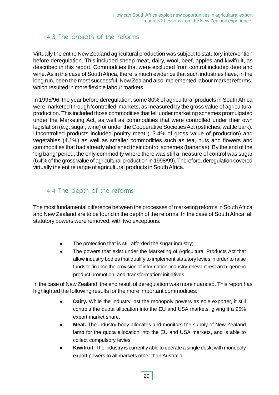## 4.3 The breadth of the reforms

Virtually the entire New Zealand agricultural production was subject to statutory intervention before deregulation. This included sheep meat, dairy, wool, beef, apples and kiwifruit, as described in this report. Commodities that were excluded from control included deer and wine. As in the case of South Africa, there is much evidence that such industries have, in the long run, been the most successful. New Zealand also implemented labour market reforms, which resulted in more flexible labour markets.

In 1995/96, the year before deregulation, some 80% of agricultural products in South Africa were marketed through 'controlled' markets, as measured by the gross value of agricultural production. This included those commodities that fell under marketing schemes promulgated under the Marketing Act, as well as commodities that were controlled under their own legislation (e.g. sugar, wine) or under the Cooperative Societies Act (ostriches, wattle bark). Uncontrolled products included poultry meat (13.4% of gross value of production) and vegetables (4.1%) as well as smaller commodities such as tea, nuts and flowers and commodities that had already abolished their control schemes (bananas). By the end of the 'big bang' period, the only commodity where there was still a measure of control was sugar (6.4% of the gross value of agricultural production in 1998/99). Therefore, deregulation covered virtually the entire range of agricultural products in South Africa.

## 4.4 The depth of the reforms

The most fundamental difference between the processes of marketing reforms in South Africa and New Zealand are to be found in the depth of the reforms. In the case of South Africa, all statutory powers were removed, with two exceptions:

- The protection that is still afforded the sugar industry;
- The powers that exist under the Marketing of Agricultural Products Act that allow industry bodies that qualify to implement statutory levies in order to raise funds to finance the provision of information, industry-relevant research, generic product promotion, and 'transformation' initiatives.

In the case of New Zealand, the end result of deregulation was more nuanced. This report has highlighted the following results for the more important commodities:

- **Dairy.** While the industry lost the monopoly powers as sole exporter, it still controls the quota allocation into the EU and USA markets, giving it a 95% export market share.
- **Meat.** The industry body allocates and monitors the supply of New Zealand lamb for the quota allocation into the EU and USA markets, and is able to collect compulsory levies.
- **Kiwifruit.** The industry is currently able to operate a single desk, with monopoly export powers to all markets other than Australia.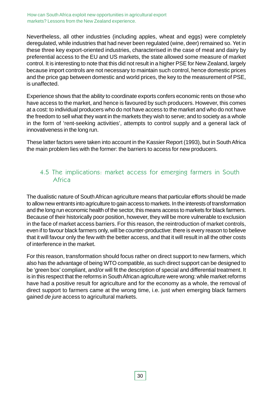Nevertheless, all other industries (including apples, wheat and eggs) were completely deregulated, while industries that had never been regulated (wine, deer) remained so. Yet in these three key export-oriented industries, characterised in the case of meat and dairy by preferential access to the EU and US markets, the state allowed some measure of market control. It is interesting to note that this did not result in a higher PSE for New Zealand, largely because import controls are not necessary to maintain such control, hence domestic prices and the price gap between domestic and world prices, the key to the measurement of PSE, is unaffected.

Experience shows that the ability to coordinate exports confers economic rents on those who have access to the market, and hence is favoured by such producers. However, this comes at a cost: to individual producers who do not have access to the market and who do not have the freedom to sell what they want in the markets they wish to serve; and to society as a whole in the form of 'rent-seeking activities', attempts to control supply and a general lack of innovativeness in the long run.

These latter factors were taken into account in the Kassier Report (1993), but in South Africa the main problem lies with the former: the barriers to access for new producers.

## 4.5 The implications: market access for emerging farmers in South Africa

The dualistic nature of South African agriculture means that particular efforts should be made to allow new entrants into agriculture to gain access to markets. In the interests of transformation and the long run economic health of the sector, this means access to markets for black farmers. Because of their historically poor position, however, they will be more vulnerable to exclusion in the face of market access barriers. For this reason, the reintroduction of market controls, even if to favour black farmers only, will be counter-productive: there is every reason to believe that it will favour only the few with the better access, and that it will result in all the other costs of interference in the market.

For this reason, transformation should focus rather on direct support to new farmers, which also has the advantage of being WTO compatible, as such direct support can be designed to be 'green box' compliant, and/or will fit the description of special and differential treatment. It is in this respect that the reforms in South African agriculture were wrong: while market reforms have had a positive result for agriculture and for the economy as a whole, the removal of direct support to farmers came at the wrong time, i.e. just when emerging black farmers gained *de jure* access to agricultural markets.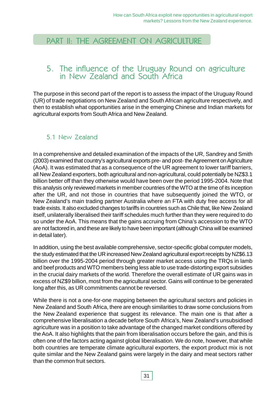## PART II: THE AGREEMENT ON AGRICULTURE

## 5. The influence of the Uruguay Round on agriculture in New Zealand and South Africa

The purpose in this second part of the report is to assess the impact of the Uruguay Round (UR) of trade negotiations on New Zealand and South African agriculture respectively, and then to establish what opportunities arise in the emerging Chinese and Indian markets for agricultural exports from South Africa and New Zealand.

## 5.1 New Zealand

In a comprehensive and detailed examination of the impacts of the UR, Sandrey and Smith (2003) examined that country's agricultural exports pre- and post- the Agreement on Agriculture (AoA). It was estimated that as a consequence of the UR agreement to lower tariff barriers, all New Zealand exporters, both agricultural and non-agricultural, could potentially be NZ\$3.1 billion better off than they otherwise would have been over the period 1995-2004. Note that this analysis only reviewed markets in member countries of the WTO at the time of its inception after the UR, and not those in countries that have subsequently joined the WTO, or New Zealand's main trading partner Australia where an FTA with duty free access for all trade exists. It also excluded changes to tariffs in countries such as Chile that, like New Zealand itself, unilaterally liberalised their tariff schedules much further than they were required to do so under the AoA. This means that the gains accruing from China's accession to the WTO are not factored in, and these are likely to have been important (although China will be examined in detail later).

In addition, using the best available comprehensive, sector-specific global computer models, the study estimated that the UR increased New Zealand agricultural export receipts by NZ\$6.13 billion over the 1995-2004 period through greater market access using the TRQs in lamb and beef products and WTO members being less able to use trade-distorting export subsidies in the crucial dairy markets of the world. Therefore the overall estimate of UR gains was in excess of NZ\$9 billion, most from the agricultural sector. Gains will continue to be generated long after this, as UR commitments cannot be reversed.

While there is not a one-for-one mapping between the agricultural sectors and policies in New Zealand and South Africa, there are enough similarities to draw some conclusions from the New Zealand experience that suggest its relevance. The main one is that after a comprehensive liberalisation a decade before South Africa's, New Zealand's unsubsidised agriculture was in a position to take advantage of the changed market conditions offered by the AoA. It also highlights that the pain from liberalisation occurs before the gain, and this is often one of the factors acting against global liberalisation. We do note, however, that while both countries are temperate climate agricultural exporters, the export product mix is not quite similar and the New Zealand gains were largely in the dairy and meat sectors rather than the common fruit sectors.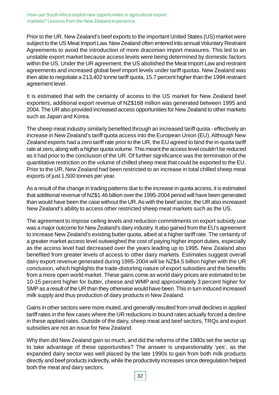Prior to the UR, New Zealand's beef exports to the important United States (US) market were subject to the US Meat Import Law. New Zealand often entered into annual Voluntary Restraint Agreements to avoid the introduction of more draconian import measures. This led to an unstable export market because access levels were being determined by domestic factors within the US. Under the UR agreement, the US abolished the Meat Import Law and restraint agreements and increased global beef import levels under tariff quotas. New Zealand was then able to negotiate a 213,402 tonne tariff quota, 15.7 percent higher than the 1994 restraint agreement level.

It is estimated that with the certainty of access to the US market for New Zealand beef exporters, additional export revenue of NZ\$168 million was generated between 1995 and 2004. The UR also provided increased access opportunities for New Zealand to other markets such as Japan and Korea.

The sheep meat industry similarly benefited through an increased tariff quota - effectively an increase in New Zealand's tariff quota access into the European Union (EU). Although New Zealand exports had a zero tariff rate prior to the UR, the EU agreed to bind the in-quota tariff rate at zero, along with a higher quota volume. This meant the access level couldn't be reduced as it had prior to the conclusion of the UR. Of further significance was the termination of the quantitative restriction on the volume of chilled sheep meat that could be exported to the EU. Prior to the UR, New Zealand had been restricted to an increase in total chilled sheep meat exports of just 1,500 tonnes per year.

As a result of the change in trading patterns due to the increase in quota access, it is estimated that additional revenue of NZ\$1.46 billion over the 1995-2004 period will have been generated than would have been the case without the UR. As with the beef sector, the UR also increased New Zealand's ability to access other restricted sheep meat markets such as the US.

The agreement to impose ceiling levels and reduction commitments on export subsidy use was a major outcome for New Zealand's dairy industry. It also gained from the EU's agreement to increase New Zealand's existing butter quota, albeit at a higher tariff rate. The certainty of a greater market access level outweighed the cost of paying higher import duties, especially as the access level had decreased over the years leading up to 1995. New Zealand also benefited from greater levels of access to other dairy markets. Estimates suggest overall dairy export revenue generated during 1995-2004 will be NZ\$4.5 billion higher with the UR conclusion, which highlights the trade-distorting nature of export subsidies and the benefits from a more open world market. These gains come as world dairy prices are estimated to be 10-15 percent higher for butter, cheese and WMP and approximately 3 percent higher for SMP as a result of the UR than they otherwise would have been. This in turn induced increased milk supply and thus production of dairy products in New Zealand.

Gains in other sectors were more muted, and generally resulted from small declines in applied tariff rates in the few cases where the UR reductions in bound rates actually forced a decline in these applied rates. Outside of the dairy, sheep meat and beef sectors, TRQs and export subsidies are not an issue for New Zealand.

Why then did New Zealand gain so much, and did the reforms of the 1980s set the sector up to take advantage of these opportunities? The answer is unquestionably 'yes', as the expanded dairy sector was well placed by the late 1990s to gain from both milk products directly and beef products indirectly, while the productivity increases since deregulation helped both the meat and dairy sectors.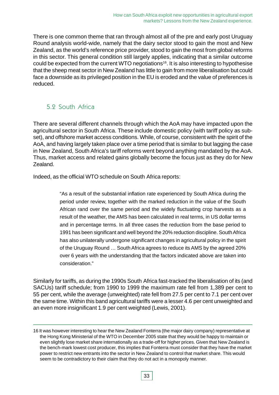There is one common theme that ran through almost all of the pre and early post Uruguay Round analysis world-wide, namely that the dairy sector stood to gain the most and New Zealand, as the world's reference price provider, stood to gain the most from global reforms in this sector. This general condition still largely applies, indicating that a similar outcome could be expected from the current WTO negotiations<sup>16</sup>. It is also interesting to hypothesise that the sheep meat sector in New Zealand has little to gain from more liberalisation but could face a downside as its privileged position in the EU is eroded and the value of preferences is reduced.

## 5.2 South Africa

There are several different channels through which the AoA may have impacted upon the agricultural sector in South Africa. These include domestic policy (with tariff policy as subset), and offshore market access conditions. While, of course, consistent with the spirit of the AoA, and having largely taken place over a time period that is similar to but lagging the case in New Zealand, South Africa's tariff reforms went beyond anything mandated by the AoA. Thus, market access and related gains globally become the focus just as they do for New Zealand.

Indeed, as the official WTO schedule on South Africa reports:

"As a result of the substantial inflation rate experienced by South Africa during the period under review, together with the marked reduction in the value of the South African rand over the same period and the widely fluctuating crop harvests as a result of the weather, the AMS has been calculated in real terms, in US dollar terms and in percentage terms. In all three cases the reduction from the base period to 1991 has been significant and well beyond the 20% reduction discipline. South Africa has also unilaterally undergone significant changes in agricultural policy in the spirit of the Uruguay Round … South Africa agrees to reduce its AMS by the agreed 20% over 6 years with the understanding that the factors indicated above are taken into consideration."

Similarly for tariffs, as during the 1990s South Africa fast-tracked the liberalisation of its (and SACUs) tariff schedule; from 1990 to 1999 the maximum rate fell from 1,389 per cent to 55 per cent, while the average (unweighted) rate fell from 27.5 per cent to 7.1 per cent over the same time. Within this band agricultural tariffs were a lesser 4.6 per cent unweighted and an even more insignificant 1.9 per cent weighted (Lewis, 2001).

<sup>16</sup> It was however interesting to hear the New Zealand Fonterra (the major dairy company) representative at the Hong Kong Ministerial of the WTO in December 2005 state that they would be happy to maintain or even slightly lose market share internationally as a trade-off for higher prices. Given that New Zealand is the bench-mark lowest cost producer, this implies that Fonterra must consider that they have the market power to restrict new entrants into the sector in New Zealand to control that market share. This would seem to be contradictory to their claim that they do not act in a monopoly manner.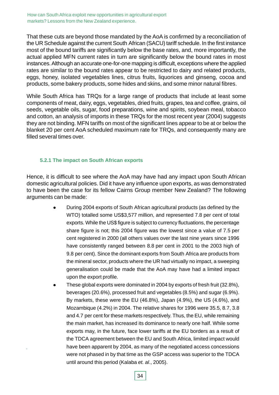That these cuts are beyond those mandated by the AoA is confirmed by a reconciliation of the UR Schedule against the current South African (SACU) tariff schedule. In the first instance most of the bound tariffs are significantly below the base rates, and, more importantly, the actual applied MFN current rates in turn are significantly below the bound rates in most instances. Although an accurate one-for-one mapping is difficult, exceptions where the applied rates are similar to the bound rates appear to be restricted to dairy and related products, eggs, honey, isolated vegetables lines, citrus fruits, liquorices and ginseng, cocoa and products, some bakery products, some hides and skins, and some minor natural fibres.

While South Africa has TRQs for a large range of products that include at least some components of meat, dairy, eggs, vegetables, dried fruits, grapes, tea and coffee, grains, oil seeds, vegetable oils, sugar, food preparations, wine and spirits, soybean meal, tobacco and cotton, an analysis of imports in these TRQs for the most recent year (2004) suggests they are not binding. MFN tariffs on most of the significant lines appear to be at or below the blanket 20 per cent AoA scheduled maximum rate for TRQs, and consequently many are filled several times over.

#### **5.2.1 The impact on South African exports**

Hence, it is difficult to see where the AoA may have had any impact upon South African domestic agricultural policies. Did it have any influence upon exports, as was demonstrated to have been the case for its fellow Cairns Group member New Zealand? The following arguments can be made:

- During 2004 exports of South African agricultural products (as defined by the WTO) totalled some US\$3,577 million, and represented 7.8 per cent of total exports. While the US\$ figure is subject to currency fluctuations, the percentage share figure is not; this 2004 figure was the lowest since a value of 7.5 per cent registered in 2000 (all others values over the last nine years since 1996 have consistently ranged between 8.8 per cent in 2001 to the 2003 high of 9.8 per cent). Since the dominant exports from South Africa are products from the mineral sector, products where the UR had virtually no impact, a sweeping generalisation could be made that the AoA may have had a limited impact upon the export profile.
- These global exports were dominated in 2004 by exports of fresh fruit (32.8%), beverages (20.6%), processed fruit and vegetables (8.5%) and sugar (6.9%). By markets, these were the EU (46.8%), Japan (4.9%), the US (4.6%), and Mozambique (4.2%) in 2004. The relative shares for 1996 were 35.5, 8.7, 3.8 and 4.7 per cent for these markets respectively. Thus, the EU, while remaining the main market, has increased its dominance to nearly one half. While some exports may, in the future, face lower tariffs at the EU borders as a result of the TDCA agreement between the EU and South Africa, limited impact would have been apparent by 2004, as many of the negotiated access concessions were not phased in by that time as the GSP access was superior to the TDCA until around this period (Kalaba *et. al*., 2005).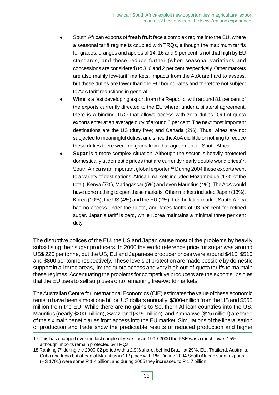- South African exports of **fresh fruit** face a complex regime into the EU, where a seasonal tariff regime is coupled with TRQs, although the maximum tariffs for grapes, oranges and apples of 14, 16 and 9 per cent is not that high by EU standards, and these reduce further (when seasonal variations and concessions are considered) to 3, 6 and 2 per cent respectively. Other markets are also mainly low-tariff markets. Impacts from the AoA are hard to assess, but these duties are lower than the EU bound rates and therefore not subject to AoA tariff reductions in general.
- **Wine** is a fast developing export from the Republic, with around 81 per cent of the exports currently directed to the EU where, under a bilateral agreement, there is a binding TRQ that allows access with zero duties. Out-of-quota exports enter at an average duty of around 6 per cent. The next most important destinations are the US (duty free) and Canada (2%). Thus, wines are not subjected to meaningful duties, and since the AoA did little or nothing to reduce these duties there were no gains from that agreement to South Africa.
- **Sugar** is a more complex situation. Although the sector is heavily protected domestically at domestic prices that are currently nearly double world prices<sup>17</sup>, South Africa is an important global exporter.<sup>18</sup> During 2004 these exports went to a variety of destinations. African markets included Mozambique (17% of the total), Kenya (7%), Madagascar (5%) and even Mauritius (4%). The AoA would have done nothing to open these markets. Other markets included Japan (13%), Korea (10%), the US (4%) and the EU (2%). For the latter market South Africa has no access under the quota, and faces tariffs of 93 per cent for refined sugar. Japan's tariff is zero, while Korea maintains a minimal three per cent duty.

The disruptive polices of the EU, the US and Japan cause most of the problems by heavily subsidising their sugar producers. In 2000 the world reference price for sugar was around US\$ 220 per tonne, but the US, EU and Japanese producer prices were around \$410, \$510 and \$800 per tonne respectively. These levels of protection are made possible by domestic support in all three areas, limited quota access and very high out-of-quota tariffs to maintain these regimes. Accentuating the problems for competitive producers are the export subsidies that the EU uses to sell surpluses onto remaining free-world markets.

The Australian Centre for International Economics (CIE) estimates the value of these economic rents to have been almost one billion US dollars annually: \$300-million from the US and \$560 million from the EU. While there are no gains to Southern African countries into the US, Mauritius (nearly \$200-million), Swaziland (\$75-million), and Zimbabwe (\$25 million) are three of the six main beneficiaries from access into the EU market. Simulations of the liberalisation of production and trade show the predictable results of reduced production and higher

<sup>17</sup> This has changed over the last couple of years, as in 1999-2000 the PSE was a much lower 15%, although imports remain protected by TRQs.

<sup>18</sup> Ranking 7<sup>th</sup> during the 2000-02 period with a 2.9% share, behind Brazil at 29%, EU, Thailand, Australia, Cuba and India but ahead of Mauritius in 11<sup>th</sup> place with 1%. During 2004 South African sugar exports (HS 1701) were some R 1.4 billion, and during 2005 they increased to R 1.7 billion.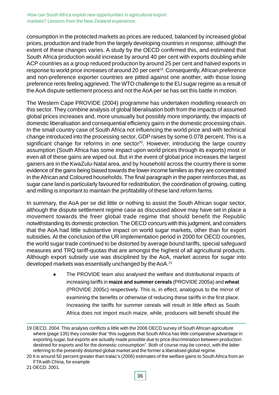consumption in the protected markets as prices are reduced, balanced by increased global prices, production and trade from the largely developing countries in response, although the extent of these changes varies. A study by the OECD confirmed this, and estimated that South Africa production would increase by around 40 per cent with exports doubling while ACP countries as a group reduced production by around 25 per cent and halved exports in response to world price increases of around 20 per cent<sup>19</sup>. Consequently, African preference and non-preference exporter countries are pitted against one another, with those losing preference rents feeling aggrieved. The WTO challenge to the EU sugar regime as a result of the AoA dispute settlement process and not the AoA per se has set this battle in motion.

The Western Cape PROVIDE (2004) programme has undertaken modelling research on this sector. They combine analysis of global liberalisation both from the impacts of assumed global prices increases and, more unusually but possibly more importantly, the impacts of domestic liberalisation and consequential efficiency gains in the domestic processing chain. In the small country case of South Africa not influencing the world price and with technical change introduced into the processing sector, GDP raises by some 0.078 percent. This is a significant change for reforms in one sector<sup>20</sup>. However, introducing the large country assumption (South Africa has some impact upon world prices through its exports) most or even all of these gains are wiped out. But in the event of global price increases the largest gainers are in the KwaZulu-Natal area, and by household across the country there is some evidence of the gains being biased towards the lower income families as they are concentrated in the African and Coloured households. The final paragraph in the paper reinforces that, as sugar cane land is particularly favoured for redistribution, the coordination of growing, cutting and milling is important to maintain the profitability of these land reform farms.

In summary, the AoA per se did little or nothing to assist the South African sugar sector, although the dispute settlement regime case as discussed above may have set in place a movement towards the freer global trade regime that should benefit the Republic notwithstanding its domestic protection. The OECD concurs with this judgment, and considers that the AoA had little substantive impact on world sugar markets, other than for export subsidies. At the conclusion of the UR implementation period in 2000 for OECD countries, the world sugar trade continued to be distorted by average bound tariffs, special safeguard measures and TRQ tariff-quotas that are amongst the highest of all agricultural products. Although export subsidy use was disciplined by the AoA, market access for sugar into developed markets was essentially unchanged by the AoA.21

> • The PROVIDE team also analysed the welfare and distributional impacts of increasing tariffs in **maize and summer cereals** (PROVIDE 2005a) and **wheat** (PROVIDE 2005c) respectively. This is, in effect, analogous to the mirror of examining the benefits or otherwise of reducing these tariffs in the first place. Increasing the tariffs for summer cereals will result in little effect as South Africa does not import much maize, while, producers will benefit should the

<sup>19</sup> OECD. 2004. This analysis conflicts a little with the 2006 OECD survey of South African agriculture where (page 135) they consider that "this suggests that South Africa has little comparative advantage in exporting sugar, but exports are actually made possible due to price discrimination between production destined for exports and for the domestic consumption". Both of course may be correct, with the latter referring to the presently distorted global market and the former a liberalised global regime.

<sup>20</sup> It is around 50 percent greater than tralac's (2006) estimates of the welfare gains to South Africa from an FTA with China, for example

<sup>21</sup> OECD. 2001.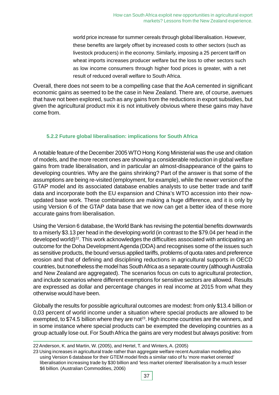world price increase for summer cereals through global liberalisation. However, these benefits are largely offset by increased costs to other sectors (such as livestock producers) in the economy. Similarly, imposing a 25 percent tariff on wheat imports increases producer welfare but the loss to other sectors such as low income consumers through higher food prices is greater, with a net result of reduced overall welfare to South Africa.

Overall, there does not seem to be a compelling case that the AoA cemented in significant economic gains as seemed to be the case in New Zealand. There are, of course, avenues that have not been explored, such as any gains from the reductions in export subsidies, but given the agricultural product mix it is not intuitively obvious where these gains may have come from.

### **5.2.2 Future global liberalisation: implications for South Africa**

A notable feature of the December 2005 WTO Hong Kong Ministerial was the use and citation of models, and the more recent ones are showing a considerable reduction in global welfare gains from trade liberalisation, and in particular an almost-disappearance of the gains to developing countries. Why are the gains shrinking? Part of the answer is that some of the assumptions are being re-visited (employment, for example), while the newer version of the GTAP model and its associated database enables analysts to use better trade and tariff data and incorporate both the EU expansion and China's WTO accession into their nowupdated base work. These combinations are making a huge difference, and it is only by using Version 6 of the GTAP data base that we now can get a better idea of these more accurate gains from liberalisation.

Using the Version 6 database, the World Bank has revising the potential benefits downwards to a miserly \$3.13 per head in the developing world (in contrast to the \$79.04 per head in the developed world)<sup>22</sup>. This work acknowledges the difficulties associated with anticipating an outcome for the Doha Development Agenda (DDA) and recognises some of the issues such as sensitive products, the bound versus applied tariffs, problems of quota rates and preference erosion and that of defining and disciplining reductions in agricultural supports in OECD countries, but nonetheless the model has South Africa as a separate country (although Australia and New Zealand are aggregated). The scenarios focus on cuts to agricultural protection, and include scenarios where different exemptions for sensitive sectors are allowed. Results are expressed as dollar and percentage changes in real income at 2015 from what they otherwise would have been.

Globally the results for possible agricultural outcomes are modest: from only \$13.4 billion or 0,03 percent of world income under a situation where special products are allowed to be exempted, to \$74.5 billion where they are not<sup>23</sup>. High income countries are the winners, and in some instance where special products can be exempted the developing countries as a group actually lose out. For South Africa the gains are very modest but always positive: from

<sup>22</sup> Anderson, K. and Martin, W. (2005), and Hertel, T. and Winters, A. (2005)

<sup>23</sup> Using increases in agricultural trade rather than aggregate welfare recent Australian modelling also using Version 6 database for their GTEM model finds a similar ratio of fu 'more market oriented' liberalisation increasing trade by \$30 billion and 'less market oriented' liberalisation by a much lesser \$6 billion. (Australian Commodities, 2006)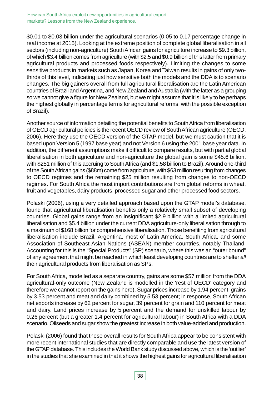\$0.01 to \$0.03 billion under the agricultural scenarios (0.05 to 0.17 percentage change in real income at 2015). Looking at the extreme position of complete global liberalisation in all sectors (including non-agriculture) South African gains for agriculture increase to \$9.3 billion, of which \$3.4 billion comes from agriculture (with \$2.5 and \$0.9 billion of this latter from primary agricultural products and processed foods respectively). Limiting the changes to some sensitive products in markets such as Japan, Korea and Taiwan results in gains of only twothirds of this level, indicating just how sensitive both the models and the DDA is to scenario changes. The big gainers overall from full agricultural liberalisation are the Latin American countries of Brazil and Argentina, and New Zealand and Australia (with the latter as a grouping so we cannot give a figure for New Zealand, but we might assume that it is likely to be perhaps the highest globally in percentage terms for agricultural reforms, with the possible exception of Brazil).

Another source of information detailing the potential benefits to South Africa from liberalisation of OECD agricultural policies is the recent OECD review of South African agriculture (OECD, 2006). Here they use the OECD version of the GTAP model, but we must caution that it is based upon Version 5 (1997 base year) and not Version 6 using the 2001 base year data. In addition, the different assumptions make it difficult to compare results, but with partial global liberalisation in both agriculture and non-agriculture the global gain is some \$45.6 billion, with \$251 million of this accruing to South Africa (and \$1.58 billion to Brazil). Around one-third of the South African gains (\$88m) come from agriculture, with \$63 million resulting from changes to OECD regimes and the remaining \$25 million resulting from changes to non-OECD regimes. For South Africa the most import contributions are from global reforms in wheat, fruit and vegetables, dairy products, processed sugar and other processed food sectors.

Polaski (2006), using a very detailed approach based upon the GTAP model's database, found that agricultural liberalisation benefits only a relatively small subset of developing countries. Global gains range from an insignificant \$2.9 billion with a limited agricultural liberalisation and \$5.4 billion under the current DDA agriculture-only liberalisation through to a maximum of \$168 billion for comprehensive liberalisation. Those benefiting from agricultural liberalisation include Brazil, Argentina, most of Latin America, South Africa, and some Association of Southeast Asian Nations (ASEAN) member countries, notably Thailand. Accounting for this is the "Special Products" (SP) scenario, where this was an "outer bound" of any agreement that might be reached in which least developing countries are to shelter *all* their agricultural products from liberalisation as SPs.

For South Africa, modelled as a separate country, gains are some \$57 million from the DDA agricultural-only outcome (New Zealand is modelled in the 'rest of OECD' category and therefore we cannot report on the gains here). Sugar prices increase by 1.94 percent, grains by 3.53 percent and meat and dairy combined by 5.53 percent; in response, South African net exports increase by 62 percent for sugar, 39 percent for grain and 110 percent for meat and dairy. Land prices increase by 5 percent and the demand for unskilled labour by 0.26 percent (but a greater 1.4 percent for agricultural labour) in South Africa with a DDA scenario. Oilseeds and sugar show the greatest increase in both value-added and production.

Polaski (2006) found that these overall results for South Africa appear to be consistent with more recent international studies that are directly comparable and use the latest version of the GTAP database. This includes the World Bank study discussed above, which is the 'outlier' in the studies that she examined in that it shows the highest gains for agricultural liberalisation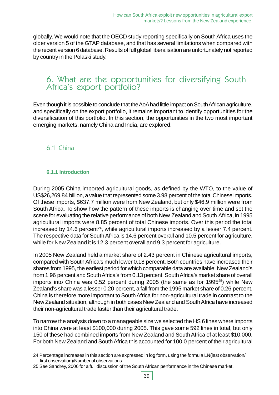globally. We would note that the OECD study reporting specifically on South Africa uses the older version 5 of the GTAP database, and that has several limitations when compared with the recent version 6 database. Results of full global liberalisation are unfortunately not reported by country in the Polaski study.

## 6. What are the opportunities for diversifying South Africa's export portfolio?

Even though it is possible to conclude that the AoA had little impact on South African agriculture, and specifically on the export portfolio, it remains important to identify opportunities for the diversification of this portfolio. In this section, the opportunities in the two most important emerging markets, namely China and India, are explored.

### 6.1 China

### **6.1.1 Introduction**

During 2005 China imported agricultural goods, as defined by the WTO, to the value of US\$26,269.84 billion, a value that represented some 3.98 percent of the total Chinese imports. Of these imports, \$637.7 million were from New Zealand, but only \$46.9 million were from South Africa. To show how the pattern of these imports is changing over time and set the scene for evaluating the relative performance of both New Zealand and South Africa, in 1995 agricultural imports were 8.85 percent of total Chinese imports. Over this period the total increased by 14.6 percent<sup>24</sup>, while agricultural imports increased by a lesser 7.4 percent. The respective data for South Africa is 14.6 percent overall and 10.5 percent for agriculture, while for New Zealand it is 12.3 percent overall and 9.3 percent for agriculture.

In 2005 New Zealand held a market share of 2.43 percent in Chinese agricultural imports, compared with South Africa's much lower 0.18 percent. Both countries have increased their shares from 1995, the earliest period for which comparable data are available: New Zealand's from 1.96 percent and South Africa's from 0.13 percent. South Africa's market share of overall imports into China was 0.52 percent during 2005 (the same as for 1995<sup>25</sup>) while New Zealand's share was a lesser 0.20 percent, a fall from the 1995 market share of 0.26 percent. China is therefore more important to South Africa for non-agricultural trade in contrast to the New Zealand situation, although in both cases New Zealand and South Africa have increased their non-agricultural trade faster than their agricultural trade.

To narrow the analysis down to a manageable size we selected the HS 6 lines where imports into China were at least \$100,000 during 2005. This gave some 592 lines in total, but only 150 of these had combined imports from New Zealand and South Africa of at least \$10,000. For both New Zealand and South Africa this accounted for 100.0 percent of their agricultural

<sup>24</sup> Percentage increases in this section are expressed in log form, using the formula LN(last observation/ first observation)/Number of observations.

<sup>25</sup> See Sandrey, 2006 for a full discussion of the South African performance in the Chinese market.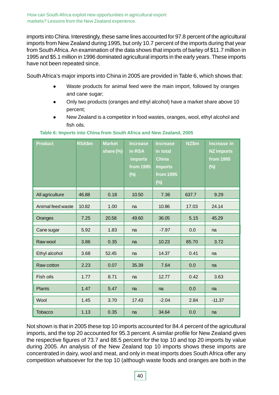imports into China. Interestingly, these same lines accounted for 97.8 percent of the agricultural imports from New Zealand during 1995, but only 10.7 percent of the imports during that year from South Africa. An examination of the data shows that imports of barley of \$11.7 million in 1995 and \$5.1 million in 1996 dominated agricultural imports in the early years. These imports have not been repeated since.

South Africa's major imports into China in 2005 are provided in Table 6, which shows that:

- Waste products for animal feed were the main import, followed by oranges and cane sugar;
- Only two products (oranges and ethyl alcohol) have a market share above 10 percent;
- New Zealand is a competitor in food wastes, oranges, wool, ethyl alcohol and fish oils.

| <b>Product</b>    | <b>RSA\$m</b> | <b>Market</b><br>share (%) | <b>Increase</b><br>in RSA<br><b>imports</b><br>from 1995<br>$(\%)$ | <b>Increase</b><br>in total<br><b>China</b><br><b>imports</b><br><b>from 1995</b><br>$(\%)$ | NZ\$m | <b>Increase in</b><br><b>NZ imports</b><br><b>from 1995</b><br>$(\%)$ |
|-------------------|---------------|----------------------------|--------------------------------------------------------------------|---------------------------------------------------------------------------------------------|-------|-----------------------------------------------------------------------|
| All agriculture   | 46.88         | 0.18                       | 10.50                                                              | 7.36                                                                                        | 637.7 | 9.29                                                                  |
| Animal feed waste | 10.82         | 1.00                       | na                                                                 | 10.86                                                                                       | 17.03 | 24.14                                                                 |
| Oranges           | 7.25          | 20.58                      | 49.60                                                              | 36.05                                                                                       | 5.15  | 45.29                                                                 |
| Cane sugar        | 5.92          | 1.83                       | na                                                                 | $-7.97$                                                                                     | 0.0   | na                                                                    |
| Raw wool          | 3.86          | 0.35                       | na                                                                 | 10.23                                                                                       | 85.70 | 3.72                                                                  |
| Ethyl alcohol     | 3.68          | 52.45                      | na                                                                 | 14.37                                                                                       | 0.41  | na                                                                    |
| Raw cotton        | 2.23          | 0.07                       | 35.39                                                              | 7.64                                                                                        | 0.0   | na                                                                    |
| Fish oils         | 1.77          | 8.71                       | na                                                                 | 12.77                                                                                       | 0.42  | 3.63                                                                  |
| <b>Plants</b>     | 1.47          | 5.47                       | na                                                                 | na                                                                                          | 0.0   | na                                                                    |
| Wool              | 1.45          | 3.70                       | 17.43                                                              | $-2.04$                                                                                     | 2.84  | $-11.37$                                                              |
| <b>Tobacco</b>    | 1.13          | 0.35                       | na                                                                 | 34.64                                                                                       | 0.0   | na                                                                    |

**Table 6: Imports into China from South Africa and New Zealand, 2005**

Not shown is that in 2005 these top 10 imports accounted for 84.4 percent of the agricultural imports, and the top 20 accounted for 95.3 percent. A similar profile for New Zealand gives the respective figures of 73.7 and 88.5 percent for the top 10 and top 20 imports by value during 2005. An analysis of the New Zealand top 10 imports shows these imports are concentrated in dairy, wool and meat, and only in meat imports does South Africa offer any competition whatsoever for the top 10 (although waste foods and oranges are both in the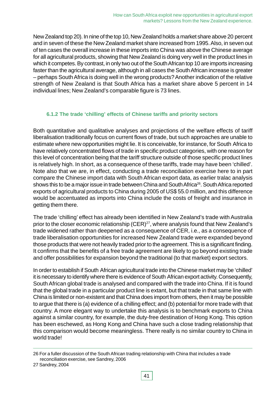New Zealand top 20). In nine of the top 10, New Zealand holds a market share above 20 percent and in seven of these the New Zealand market share increased from 1995. Also, in seven out of ten cases the overall increase in these imports into China was above the Chinese average for all agricultural products, showing that New Zealand is doing very well in the product lines in which it competes. By contrast, in only two out of the South African top 10 are imports increasing faster than the agricultural average, although in all cases the South African increase is greater – perhaps South Africa is doing well in the wrong products? Another indication of the relative strength of New Zealand is that South Africa has a market share above 5 percent in 14 individual lines; New Zealand's comparable figure is 73 lines.

### **6.1.2 The trade 'chilling' effects of Chinese tariffs and priority sectors**

Both quantitative and qualitative analyses and projections of the welfare effects of tariff liberalisation traditionally focus on current flows of trade, but such approaches are unable to estimate where new opportunities might lie. It is conceivable, for instance, for South Africa to have relatively concentrated flows of trade in specific product categories, with one reason for this level of concentration being that the tariff structure outside of those specific product lines is relatively high. In short, as a consequence of these tariffs, trade may have been 'chilled'. Note also that we are, in effect, conducting a trade reconciliation exercise here to in part compare the Chinese import data with South African export data, as earlier tralac analysis shows this to be a major issue in trade between China and South Africa<sup>26</sup>. South Africa reported exports of agricultural products to China during 2005 of US\$ 55.0 million, and this difference would be accentuated as imports into China include the costs of freight and insurance in getting them there.

The trade 'chilling' effect has already been identified in New Zealand's trade with Australia prior to the closer economic relationship (CER) $^{27}$ , where analysis found that New Zealand's trade widened rather than deepened as a consequence of CER, i.e., as a consequence of trade liberalisation opportunities for increased New Zealand trade were expanded beyond those products that were not heavily traded prior to the agreement. This is a significant finding. It confirms that the benefits of a free trade agreement are likely to go beyond existing trade and offer possibilities for expansion beyond the traditional (to that market) export sectors.

In order to establish if South African agricultural trade into the Chinese market may be 'chilled' it is necessary to identify where there is evidence of South African export activity. Consequently, South African global trade is analysed and compared with the trade into China. If it is found that the global trade in a particular product line is extant, but that trade in that same line with China is limited or non-existent and that China does import from others, then it may be possible to argue that there is (a) evidence of a chilling effect; and (b) potential for more trade with that country. A more elegant way to undertake this analysis is to benchmark exports to China against a similar country, for example, the duty-free destination of Hong Kong. This option has been eschewed, as Hong Kong and China have such a close trading relationship that this comparison would become meaningless. There really is no similar country to China in world trade!

<sup>26</sup> For a fuller discussion of the South African trading relationship with China that includes a trade reconciliation exercise, see Sandrey, 2006

<sup>27</sup> Sandrey, 2004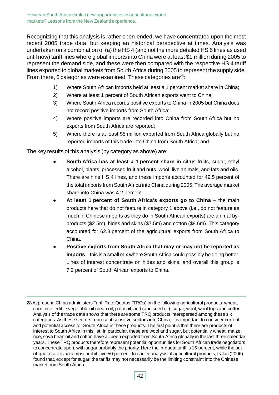Recognizing that this analysis is rather open-ended, we have concentrated upon the most recent 2005 trade data, but keeping an historical perspective at times. Analysis was undertaken on a combination of (a) the HS 4 (and not the more detailed HS 6 lines as used until now) tariff lines where global imports into China were at least \$1 million during 2005 to represent the demand side, and these were then compared with the respective HS 4 tariff lines exported to global markets from South Africa during 2005 to represent the supply side. From there, 6 categories were examined. These categories are<sup>28</sup>:

- 1) Where South African imports held at least a 1 percent market share in China;
- 2) Where at least 1 percent of South African exports went to China;
- 3) Where South Africa records positive exports to China in 2005 but China does not record positive imports from South Africa;
- 4) Where positive imports are recorded into China from South Africa but no exports from South Africa are reported;
- 5) Where there is at least \$5 million exported from South Africa globally but no reported imports of this trade into China from South Africa; and

The key results of this analysis (by category as above) are:

- **South Africa has at least a 1 percent share in** citrus fruits, sugar, ethyl alcohol, plants, processed fruit and nuts, wool, live animals, and fats and oils. There are nine HS 4 lines, and these imports accounted for 49.5 percent of the total imports from South Africa into China during 2005. The average market share into China was 4.2 percent.
- **At least 1 percent of South Africa's exports go to China** the main products here that do not feature in category 1 above (i.e., do not feature as much in Chinese imports as they do in South African exports) are animal byproducts (\$2.5m), hides and skins (\$7.5m) and cotton (\$8.6m). This category accounted for 62.3 percent of the agricultural exports from South Africa to China.
- **Positive exports from South Africa that may or may not be reported as imports** – this is a small mix where South Africa could possibly be doing better. Lines of interest concentrate on hides and skins, and overall this group is 7.2 percent of South African exports to China.

<sup>28</sup> At present, China administers Tariff Rate Quotas (TRQs) on the following agricultural products: wheat, corn, rice, edible vegetable oil (bean oil, palm oil, and rape seed oil), sugar, wool, wool tops and cotton. Analysis of the trade data shows that there are some TRQ products interspersed among these six categories. As these sectors represent sensitive sectors into China, it is important to consider current and potential access for South Africa in these products. The first point is that there are products of interest to South Africa in this list. In particular, these are wool and sugar, but potentially wheat, maize, rice, soya bean oil and cotton have all been exported from South Africa globally in the last three calendar years. These TRQ products therefore represent potential opportunities for South African trade negotiators to concentrate upon, with sugar probably the priority. Here the in-quota tariff is 15 percent, while the outof-quota rate is an almost prohibitive 50 percent. In earlier analysis of agricultural products, tralac (2006) found that, except for sugar, the tariffs may not necessarily be the limiting constraint into the Chinese market from South Africa.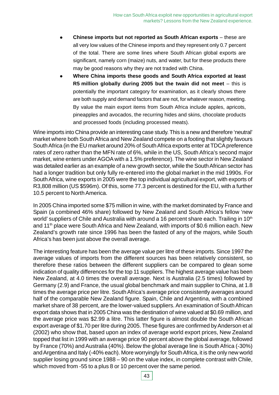- **Chinese imports but not reported as South African exports** these are all very low values of the Chinese imports and they represent only 0.7 percent of the total. There are some lines where South African global exports are significant, namely corn (maize) nuts, and water, but for these products there may be good reasons why they are not traded with China.
- **Where China imports these goods and South Africa exported at least R5 million globally during 2005 but the twain did not meet** – this is potentially the important category for examination, as it clearly shows there are both supply and demand factors that are not, for whatever reason, meeting. By value the main export items from South Africa include apples, apricots, pineapples and avocados, the recurring hides and skins, chocolate products and processed foods (including processed meats).

Wine imports into China provide an interesting case study. This is a new and therefore 'neutral' market where both South Africa and New Zealand compete on a footing that slightly favours South Africa (in the EU market around 20% of South Africa exports enter at TDCA preference rates of zero rather than the MFN rate of 6%, while in the US, South Africa's second major market, wine enters under AGOA with a 1.5% preference). The wine sector in New Zealand was detailed earlier as an example of a new growth sector, while the South African sector has had a longer tradition but only fully re-entered into the global market in the mid 1990s. For South Africa, wine exports in 2005 were the top individual agricultural export, with exports of R3,808 million (US \$596m). Of this, some 77.3 percent is destined for the EU, with a further 10.5 percent to North America.

In 2005 China imported some \$75 million in wine, with the market dominated by France and Spain (a combined 46% share) followed by New Zealand and South Africa's fellow 'new world' suppliers of Chile and Australia with around a 16 percent share each. Trailing in 10<sup>th</sup> and 11<sup>th</sup> place were South Africa and New Zealand, with imports of \$0.6 million each. New Zealand's growth rate since 1996 has been the fasted of any of the majors, while South Africa's has been just above the overall average.

The interesting feature has been the average value per litre of these imports. Since 1997 the average values of imports from the different sources has been relatively consistent, so therefore these ratios between the different suppliers can be compared to glean some indication of quality differences for the top 11 suppliers. The highest average value has been New Zealand, at 4.0 times the overall average. Next is Australia (2.5 times) followed by Germany (2.9) and France, the usual global benchmark and main supplier to China, at 1.8 times the average price per litre. South Africa's average price consistently averages around half of the comparable New Zealand figure. Spain, Chile and Argentina, with a combined market share of 38 percent, are the lower-valued suppliers. An examination of South African export data shows that in 2005 China was the destination of wine valued at \$0.69 million, and the average price was \$2.99 a litre. This latter figure is almost double the South African export average of \$1.70 per litre during 2005. These figures are confirmed by Anderson et al (2002) who show that, based upon an index of average world export prices, New Zealand topped that list in 1999 with an average price 90 percent above the global average, followed by France (70%) and Australia (40%). Below the global average line is South Africa (-30%) and Argentina and Italy (-40% each). More worryingly for South Africa, it is the only new world supplier losing ground since 1988 – 90 on the value index, in complete contrast with Chile, which moved from -55 to a plus 8 or 10 percent over the same period.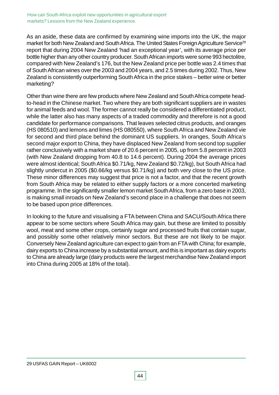As an aside, these data are confirmed by examining wine imports into the UK, the major market for both New Zealand and South Africa. The United States Foreign Agriculture Service<sup>29</sup> report that during 2004 New Zealand 'had an exceptional year', with its average price per bottle higher than any other country producer. South African imports were some 993 hectolitre, compared with New Zealand's 176, but the New Zealand price per bottle was 2.4 times that of South African wines over the 2003 and 2004 years, and 2.5 times during 2002. Thus, New Zealand is consistently outperforming South Africa in the price stakes – better wine or better marketing?

Other than wine there are few products where New Zealand and South Africa compete headto-head in the Chinese market. Two where they are both significant suppliers are in wastes for animal feeds and wool. The former cannot really be considered a differentiated product, while the latter also has many aspects of a traded commodity and therefore is not a good candidate for performance comparisons. That leaves selected citrus products, and oranges (HS 080510) and lemons and limes (HS 080550), where South Africa and New Zealand vie for second and third place behind the dominant US suppliers. In oranges, South Africa's second major export to China, they have displaced New Zealand from second top supplier rather conclusively with a market share of 20.6 percent in 2005, up from 5.8 percent in 2003 (with New Zealand dropping from 40.8 to 14.6 percent). During 2004 the average prices were almost identical; South Africa \$0.71/kg, New Zealand \$0.72/kg), but South Africa had slightly undercut in 2005 (\$0.66/kg versus \$0.71/kg) and both very close to the US price. These minor differences may suggest that price is not a factor, and that the recent growth from South Africa may be related to either supply factors or a more concerted marketing programme. In the significantly smaller lemon market South Africa, from a zero base in 2003, is making small inroads on New Zealand's second place in a challenge that does not seem to be based upon price differences.

In looking to the future and visualising a FTA between China and SACU/South Africa there appear to be some sectors where South Africa may gain, but these are limited to possibly wool, meat and some other crops, certainly sugar and processed fruits that contain sugar, and possibly some other relatively minor sectors. But these are not likely to be major. Conversely New Zealand agriculture can expect to gain from an FTA with China; for example, dairy exports to China increase by a substantial amount, and this is important as dairy exports to China are already large (dairy products were the largest merchandise New Zealand import into China during 2005 at 18% of the total).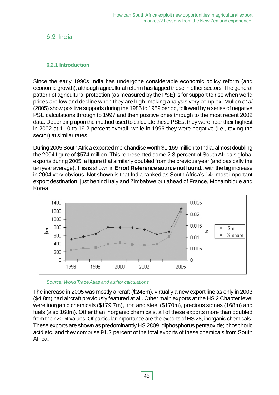### $6.2$  India

### **6.2.1 Introduction**

Since the early 1990s India has undergone considerable economic policy reform (and economic growth), although agricultural reform has lagged those in other sectors. The general pattern of agricultural protection (as measured by the PSE) is for support to rise when world prices are low and decline when they are high, making analysis very complex. Mullen *et al* (2005) show positive supports during the 1985 to 1989 period, followed by a series of negative PSE calculations through to 1997 and then positive ones through to the most recent 2002 data. Depending upon the method used to calculate these PSEs, they were near their highest in 2002 at 11.0 to 19.2 percent overall, while in 1996 they were negative (i.e., taxing the sector) at similar rates.

During 2005 South Africa exported merchandise worth \$1,169 million to India, almost doubling the 2004 figure of \$574 million. This represented some 2.3 percent of South Africa's global exports during 2005, a figure that similarly doubled from the previous year (and basically the ten year average). This is shown in **Error! Reference source not found.**, with the big increase in 2004 very obvious. Not shown is that India ranked as South Africa's  $14<sup>th</sup>$  most important export destination; just behind Italy and Zimbabwe but ahead of France, Mozambique and Korea.





The increase in 2005 was mostly aircraft (\$248m), virtually a new export line as only in 2003 (\$4.8m) had aircraft previously featured at all. Other main exports at the HS 2 Chapter level were inorganic chemicals (\$179.7m), iron and steel (\$170m), precious stones (168m) and fuels (also 168m). Other than inorganic chemicals, all of these exports more than doubled from their 2004 values. Of particular importance are the exports of HS 28, inorganic chemicals. These exports are shown as predominantly HS 2809, diphosphorus pentaoxide; phosphoric acid etc, and they comprise 91.2 percent of the total exports of these chemicals from South Africa.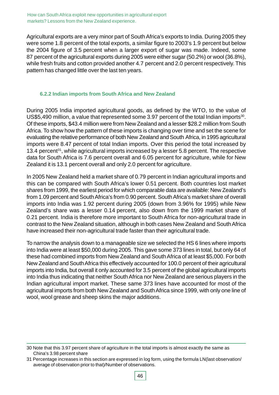Agricultural exports are a very minor part of South Africa's exports to India. During 2005 they were some 1.8 percent of the total exports, a similar figure to 2003's 1.9 percent but below the 2004 figure of 3.5 percent when a larger export of sugar was made. Indeed, some 87 percent of the agricultural exports during 2005 were either sugar (50.2%) or wool (36.8%), while fresh fruits and cotton provided another 4.7 percent and 2.0 percent respectively. This pattern has changed little over the last ten years.

### **6.2.2 Indian imports from South Africa and New Zealand**

During 2005 India imported agricultural goods, as defined by the WTO, to the value of US\$5,490 million, a value that represented some 3.97 percent of the total Indian imports<sup>30</sup>. Of these imports, \$43.4 million were from New Zealand and a lesser \$28.2 million from South Africa. To show how the pattern of these imports is changing over time and set the scene for evaluating the relative performance of both New Zealand and South Africa, in 1995 agricultural imports were 8.47 percent of total Indian imports. Over this period the total increased by 13.4 percent<sup>31</sup>, while agricultural imports increased by a lesser 5.8 percent. The respective data for South Africa is 7.6 percent overall and 6.05 percent for agriculture, while for New Zealand it is 13.1 percent overall and only 2.0 percent for agriculture.

In 2005 New Zealand held a market share of 0.79 percent in Indian agricultural imports and this can be compared with South Africa's lower 0.51 percent. Both countries lost market shares from 1999, the earliest period for which comparable data are available: New Zealand's from 1.09 percent and South Africa's from 0.90 percent. South Africa's market share of overall imports into India was 1.92 percent during 2005 (down from 3.96% for 1995) while New Zealand's share was a lesser 0.14 percent, also down from the 1999 market share of 0.21 percent. India is therefore more important to South Africa for non-agricultural trade in contrast to the New Zealand situation, although in both cases New Zealand and South Africa have increased their non-agricultural trade faster than their agricultural trade.

To narrow the analysis down to a manageable size we selected the HS 6 lines where imports into India were at least \$50,000 during 2005. This gave some 373 lines in total, but only 64 of these had combined imports from New Zealand and South Africa of at least \$5,000. For both New Zealand and South Africa this effectively accounted for 100.0 percent of their agricultural imports into India, but overall it only accounted for 3.5 percent of the global agricultural imports into India thus indicating that neither South Africa nor New Zealand are serious players in the Indian agricultural import market. These same 373 lines have accounted for most of the agricultural imports from both New Zealand and South Africa since 1999, with only one line of wool, wool grease and sheep skins the major additions.

<sup>30</sup> Note that this 3.97 percent share of agriculture in the total imports is almost exactly the same as China's 3.98 percent share

<sup>31</sup> Percentage increases in this section are expressed in log form, using the formula LN(last observation/ average of observation prior to that)/Number of observations.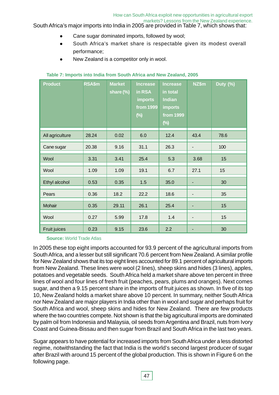South Africa's major imports into India in 2005 are provided in Table 7, which shows that:

- Cane sugar dominated imports, followed by wool;
- South Africa's market share is respectable given its modest overall performance;
- New Zealand is a competitor only in wool.

| <b>Product</b>  | RSA\$m | <b>Market</b><br>share (%) | <b>Increase</b><br>in RSA<br><b>imports</b><br><b>from 1999</b><br>$(\%)$ | <b>Increase</b><br>in total<br><b>Indian</b><br><b>imports</b><br><b>from 1999</b><br>$(\%)$ | NZ\$m          | Duty (%) |
|-----------------|--------|----------------------------|---------------------------------------------------------------------------|----------------------------------------------------------------------------------------------|----------------|----------|
| All agriculture | 28.24  | 0.02                       | 6.0                                                                       | 12.4                                                                                         | 43.4           | 78.6     |
| Cane sugar      | 20.38  | 9.16                       | 31.1                                                                      | 26.3                                                                                         | -              | 100      |
| Wool            | 3.31   | 3.41                       | 25.4                                                                      | 5.3                                                                                          | 3.68           | 15       |
| Wool            | 1.09   | 1.09                       | 19.1                                                                      | 6.7                                                                                          | 27.1           | 15       |
| Ethyl alcohol   | 0.53   | 0.35                       | 1.5                                                                       | 35.0                                                                                         | ٠              | 30       |
| Pears           | 0.36   | 18.2                       | 22.2                                                                      | 18.6                                                                                         | $\blacksquare$ | 35       |
| Mohair          | 0.35   | 29.11                      | 26.1                                                                      | 25.4                                                                                         | ٠              | 15       |
| Wool            | 0.27   | 5.99                       | 17.8                                                                      | 1.4                                                                                          | -              | 15       |
| Fruit juices    | 0.23   | 9.15                       | 23.6                                                                      | 2.2                                                                                          |                | 30       |

### **Table 7: Imports into India from South Africa and New Zealand, 2005**

**Source:** World Trade Atlas

In 2005 these top eight imports accounted for 93.9 percent of the agricultural imports from South Africa, and a lesser but still significant 70.6 percent from New Zealand. A similar profile for New Zealand shows that its top eight lines accounted for 89.1 percent of agricultural imports from New Zealand. These lines were wool (2 lines), sheep skins and hides (3 lines), apples, potatoes and vegetable seeds. South Africa held a market share above ten percent in three lines of wool and four lines of fresh fruit (peaches, pears, plums and oranges). Next comes sugar, and then a 9.15 percent share in the imports of fruit juices as shown. In five of its top 10, New Zealand holds a market share above 10 percent. In summary, neither South Africa nor New Zealand are major players in India other than in wool and sugar and perhaps fruit for South Africa and wool, sheep skins and hides for New Zealand. There are few products where the two countries compete. Not shown is that the big agricultural imports are dominated by palm oil from Indonesia and Malaysia, oil seeds from Argentina and Brazil, nuts from Ivory Coast and Guinea-Bissau and then sugar from Brazil and South Africa in the last two years.

Sugar appears to have potential for increased imports from South Africa under a less distorted regime, notwithstanding the fact that India is the world's second largest producer of sugar after Brazil with around 15 percent of the global production. This is shown in Figure 6 on the following page.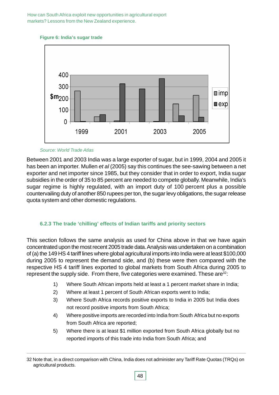



#### *Source: World Trade Atlas*

Between 2001 and 2003 India was a large exporter of sugar, but in 1999, 2004 and 2005 it has been an importer. Mullen *et al* (2005) say this continues the see-sawing between a net exporter and net importer since 1985, but they consider that in order to export, India sugar subsidies in the order of 35 to 85 percent are needed to compete globally. Meanwhile, India's sugar regime is highly regulated, with an import duty of 100 percent plus a possible countervailing duty of another 850 rupees per ton, the sugar levy obligations, the sugar release quota system and other domestic regulations.

### **6.2.3 The trade 'chilling' effects of Indian tariffs and priority sectors**

This section follows the same analysis as used for China above in that we have again concentrated upon the most recent 2005 trade data. Analysis was undertaken on a combination of (a) the 149 HS 4 tariff lines where global agricultural imports into India were at least \$100,000 during 2005 to represent the demand side, and (b) these were then compared with the respective HS 4 tariff lines exported to global markets from South Africa during 2005 to represent the supply side. From there, five categories were examined. These are<sup>32</sup>:

- 1) Where South African imports held at least a 1 percent market share in India;
- 2) Where at least 1 percent of South African exports went to India;
- 3) Where South Africa records positive exports to India in 2005 but India does not record positive imports from South Africa;
- 4) Where positive imports are recorded into India from South Africa but no exports from South Africa are reported;
- 5) Where there is at least \$1 million exported from South Africa globally but no reported imports of this trade into India from South Africa; and

<sup>32</sup> Note that, in a direct comparison with China, India does not administer any Tariff Rate Quotas (TRQs) on agricultural products.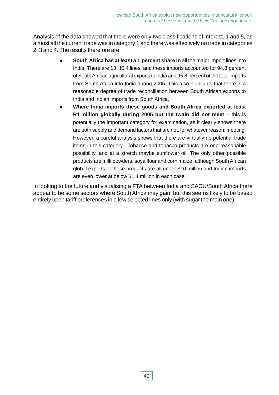Analysis of the data showed that there were only two classifications of interest, 1 and 5, as almost all the current trade was in category 1 and there was effectively no trade in categories 2, 3 and 4. The results therefore are:

- **South Africa has at least a 1 percent share in** all the major import lines into India. There are 13 HS 4 lines, and these imports accounted for 94.8 percent of South African agricultural exports to India and 95.8 percent of the total imports from South Africa into India during 2005. This also highlights that there is a reasonable degree of trade reconciliation between South African exports to India and Indian imports from South Africa.
- **Where India imports these goods and South Africa exported at least R1 million globally during 2005 but the twain did not meet** – this is potentially the important category for examination, as it clearly shows there are both supply and demand factors that are not, for whatever reason, meeting. However, a careful analysis shows that there are virtually no potential trade items in this category. Tobacco and tobacco products are one reasonable possibility, and at a stretch maybe sunflower oil. The only other possible products are milk powders, soya flour and corn maize, although South African global exports of these products are all under \$10 million and Indian imports are even lower at below \$1.4 million in each case.

In looking to the future and visualising a FTA between India and SACU/South Africa there appear to be some sectors where South Africa may gain, but this seems likely to be based entirely upon tariff preferences in a few selected lines only (with sugar the main one)*.*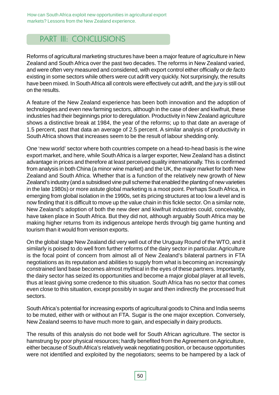# **PART III: CONCLUSIONS**

Reforms of agricultural marketing structures have been a major feature of agriculture in New Zealand and South Africa over the past two decades. The reforms in New Zealand varied, and were often very measured and considered, with export control either officially or *de facto* existing in some sectors while others were cut adrift very quickly. Not surprisingly, the results have been mixed. In South Africa all controls were effectively cut adrift, and the jury is still out on the results.

A feature of the New Zealand experience has been both innovation and the adoption of technologies and even new farming sectors, although in the case of deer and kiwifruit, these industries had their beginnings prior to deregulation. Productivity in New Zealand agriculture shows a distinctive break at 1984, the year of the reforms; up to that date an average of 1.5 percent, past that data an average of 2.5 percent. A similar analysis of productivity in South Africa shows that increases seem to be the result of labour shedding only.

One 'new world' sector where both countries compete on a head-to-head basis is the wine export market, and here, while South Africa is a larger exporter, New Zealand has a distinct advantage in prices and therefore at least perceived quality internationally. This is confirmed from analysis in both China (a minor wine market) and the UK, the major market for both New Zealand and South Africa. Whether that is a function of the relatively new growth of New Zealand's industry (and a subsidised vine pull scheme that enabled the planting of new varieties in the late 1980s) or more astute global marketing is a moot point. Perhaps South Africa, in emerging from global isolation in the 1990s, set its pricing structures at too low a level and is now finding that it is difficult to move up the value chain in this fickle sector. On a similar note, New Zealand's adoption of both the new deer and kiwifruit industries could, conceivably, have taken place in South Africa. But they did not, although arguably South Africa may be making higher returns from its indigenous antelope herds through big game hunting and tourism than it would from venison exports.

On the global stage New Zealand did very well out of the Uruguay Round of the WTO, and it similarly is poised to do well from further reforms of the dairy sector in particular. Agriculture is the focal point of concern from almost all of New Zealand's bilateral partners in FTA negotiations as its reputation and abilities to supply from what is becoming an increasingly constrained land base becomes almost mythical in the eyes of these partners. Importantly, the dairy sector has seized its opportunities and become a major global player at all levels, thus at least giving some credence to this situation. South Africa has no sector that comes even close to this situation, except possibly in sugar and then indirectly the processed fruit sectors.

South Africa's potential for increasing exports of agricultural goods to China and India seems to be muted, either with or without an FTA. Sugar is the one major exception. Conversely, New Zealand seems to have much more to gain, and especially in dairy products.

The results of this analysis do not bode well for South African agriculture. The sector is hamstrung by poor physical resources; hardly benefited from the Agreement on Agriculture, either because of South Africa's relatively weak negotiating position, or because opportunities were not identified and exploited by the negotiators; seems to be hampered by a lack of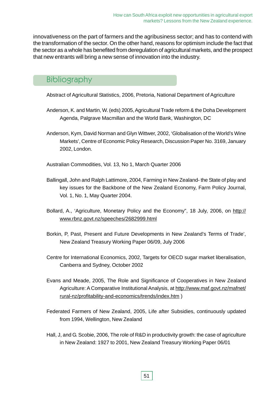innovativeness on the part of farmers and the agribusiness sector; and has to contend with the transformation of the sector. On the other hand, reasons for optimism include the fact that the sector as a whole has benefited from deregulation of agricultural markets, and the prospect that new entrants will bring a new sense of innovation into the industry.

## **Bibliography**

Abstract of Agricultural Statistics, 2006, Pretoria, National Department of Agriculture

- Anderson, K. and Martin, W. (eds) 2005, Agricultural Trade reform & the Doha Development Agenda, Palgrave Macmillan and the World Bank, Washington, DC
- Anderson, Kym, David Norman and Glyn Wittwer, 2002, 'Globalisation of the World's Wine Markets', Centre of Economic Policy Research, Discussion Paper No. 3169, January 2002, London.

Australian Commodities, Vol. 13, No 1, March Quarter 2006

- Ballingall, John and Ralph Lattimore, 2004, Farming in New Zealand- the State of play and key issues for the Backbone of the New Zealand Economy, Farm Policy Journal, Vol. 1, No. 1, May Quarter 2004.
- Bollard, A., 'Agriculture, Monetary Policy and the Economy", 18 July, 2006, on http:// www.rbnz.govt.nz/speeches/2682999.html
- Borkin, P, Past, Present and Future Developments in New Zealand's Terms of Trade', New Zealand Treasury Working Paper 06/09, July 2006
- Centre for International Economics, 2002, Targets for OECD sugar market liberalisation, Canberra and Sydney, October 2002
- Evans and Meade, 2005, The Role and Significance of Cooperatives in New Zealand Agriculture: A Comparative Institutional Analysis, at http://www.maf.govt.nz/mafnet/ rural-nz/profitability-and-economics/trends/index.htm )
- Federated Farmers of New Zealand, 2005, Life after Subsidies, continuously updated from 1994, Wellington, New Zealand
- Hall, J, and G. Scobie, 2006, The role of R&D in productivity growth: the case of agriculture in New Zealand: 1927 to 2001, New Zealand Treasury Working Paper 06/01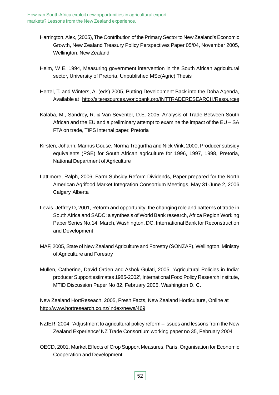- Harrington, Alex, (2005), The Contribution of the Primary Sector to New Zealand's Economic Growth, New Zealand Treasury Policy Perspectives Paper 05/04, November 2005, Wellington, New Zealand
- Helm, W E. 1994, Measuring government intervention in the South African agricultural sector, University of Pretoria, Unpublished MSc(Agric) Thesis
- Hertel, T. and Winters, A. (eds) 2005, Putting Development Back into the Doha Agenda, Available at http://siteresources.worldbank.org/INTTRADERESEARCH/Resources
- Kalaba, M., Sandrey, R. & Van Seventer, D.E. 2005, Analysis of Trade Between South African and the EU and a preliminary attempt to examine the impact of the EU – SA FTA on trade, TIPS Internal paper, Pretoria
- Kirsten, Johann, Marnus Gouse, Norma Tregurtha and Nick Vink, 2000, Producer subsidy equivalents (PSE) for South African agriculture for 1996, 1997, 1998, Pretoria, National Department of Agriculture
- Lattimore, Ralph, 2006, Farm Subsidy Reform Dividends, Paper prepared for the North American Agrifood Market Integration Consortium Meetings, May 31-June 2, 2006 Calgary, Alberta
- Lewis, Jeffrey D, 2001, Reform and opportunity: the changing role and patterns of trade in South Africa and SADC: a synthesis of World Bank research, Africa Region Working Paper Series No.14, March, Washington, DC, International Bank for Reconstruction and Development
- MAF, 2005, State of New Zealand Agriculture and Forestry (SONZAF), Wellington, Ministry of Agriculture and Forestry
- Mullen, Catherine, David Orden and Ashok Gulati, 2005, 'Agricultural Policies in India: producer Support estimates 1985-2002', International Food Policy Research Institute, MTID Discussion Paper No 82, February 2005, Washington D. C.

New Zealand HortReseach, 2005, Fresh Facts, New Zealand Horticulture, Online at http://www.hortresearch.co.nz/index/news/469

- NZIER, 2004, 'Adjustment to agricultural policy reform issues and lessons from the New Zealand Experience' NZ Trade Consortium working paper no 35, February 2004
- OECD, 2001, Market Effects of Crop Support Measures, Paris, Organisation for Economic Cooperation and Development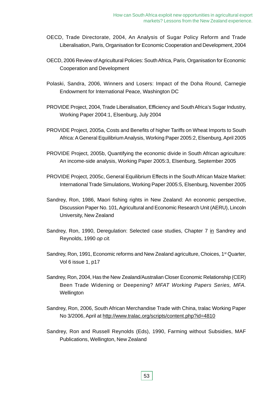- OECD, Trade Directorate, 2004, An Analysis of Sugar Policy Reform and Trade Liberalisation, Paris, Organisation for Economic Cooperation and Development, 2004
- OECD, 2006 Review of Agricultural Policies: South Africa, Paris, Organisation for Economic Cooperation and Development
- Polaski, Sandra, 2006, Winners and Losers: Impact of the Doha Round, Carnegie Endowment for International Peace, Washington DC
- PROVIDE Project, 2004, Trade Liberalisation, Efficiency and South Africa's Sugar Industry, Working Paper 2004:1, Elsenburg, July 2004
- PROVIDE Project, 2005a, Costs and Benefits of higher Tariffs on Wheat Imports to South Africa: A General Equilibrium Analysis, Working Paper 2005:2, Elsenburg, April 2005
- PROVIDE Project, 2005b, Quantifying the economic divide in South African agriculture: An income-side analysis, Working Paper 2005:3, Elsenburg, September 2005
- PROVIDE Project, 2005c, General Equilibrium Effects in the South African Maize Market: International Trade Simulations, Working Paper 2005:5, Elsenburg, November 2005
- Sandrey, Ron, 1986, Maori fishing rights in New Zealand: An economic perspective, Discussion Paper No. 101, Agricultural and Economic Research Unit (AERU), Lincoln University, New Zealand
- Sandrey, Ron, 1990, Deregulation: Selected case studies, Chapter 7 in Sandrey and Reynolds, 1990 *op cit.*
- Sandrey, Ron, 1991, Economic reforms and New Zealand agriculture, Choices, 1<sup>st</sup> Quarter, Vol 6 issue 1, p17
- Sandrey, Ron, 2004, Has the New Zealand/Australian Closer Economic Relationship (CER) Been Trade Widening or Deepening? *MFAT Working Papers Series, MFA.* **Wellington**
- Sandrey, Ron, 2006, South African Merchandise Trade with China, tralac Working Paper No 3/2006, April at http://www.tralac.org/scripts/content.php?id=4810
- Sandrey, Ron and Russell Reynolds (Eds), 1990, Farming without Subsidies, MAF Publications, Wellington, New Zealand